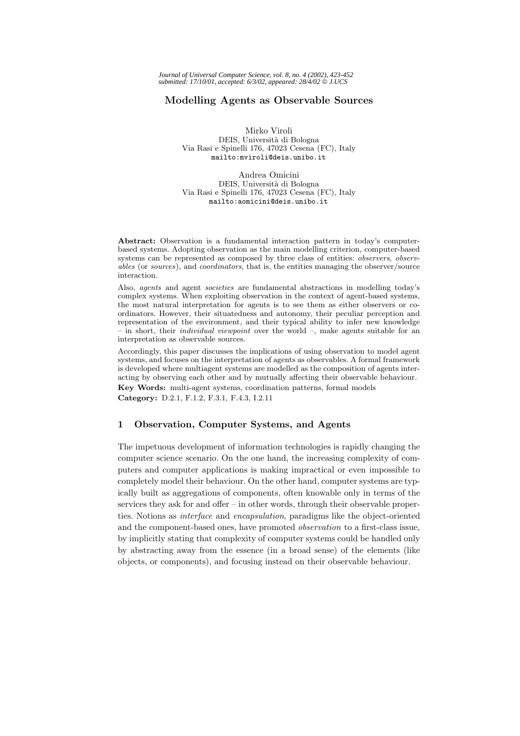*Journal of Universal Computer Science, vol. 8, no. 4 (2002), 423-452 submitted: 17/10/01, accepted: 6/3/02, appeared: 28/4/02 J.UCS*

# **Modelling Agents as Observable Sources**

Mirko Viroli DEIS, Università di Bologna Via Rasi e Spinelli 176, 47023 Cesena (FC), Italy mailto:mviroli@deis.unibo.it

Andrea Omicini DEIS, Università di Bologna Via Rasi e Spinelli 176, 47023 Cesena (FC), Italy mailto:aomicini@deis.unibo.it

**Abstract:** Observation is a fundamental interaction pattern in today's computerbased systems. Adopting observation as the main modelling criterion, computer-based systems can be represented as composed by three class of entities: *observers*, *observables* (or *sources*), and *coordinators*, that is, the entities managing the observer/source interaction.

Also, *agents* and agent *societies* are fundamental abstractions in modelling today's complex systems. When exploiting observation in the context of agent-based systems, the most natural interpretation for agents is to see them as either observers or coordinators. However, their situatedness and autonomy, their peculiar perception and representation of the environment, and their typical ability to infer new knowledge – in short, their *individual viewpoint* over the world –, make agents suitable for an interpretation as observable sources.

Accordingly, this paper discusses the implications of using observation to model agent systems, and focuses on the interpretation of agents as observables. A formal framework is developed where multiagent systems are modelled as the composition of agents interacting by observing each other and by mutually affecting their observable behaviour. **Key Words:** multi-agent systems, coordination patterns, formal models **Category:** D.2.1, F.1.2, F.3.1, F.4.3, I.2.11

## **1 Observation, Computer Systems, and Agents**

The impetuous development of information technologies is rapidly changing the computer science scenario. On the one hand, the increasing complexity of computers and computer applications is making impractical or even impossible to completely model their behaviour. On the other hand, computer systems are typically built as aggregations of components, often knowable only in terms of the services they ask for and offer – in other words, through their observable properties. Notions as *interface* and *encapsulation*, paradigms like the object-oriented and the component-based ones, have promoted *observation* to a first-class issue, by implicitly stating that complexity of computer systems could be handled only by abstracting away from the essence (in a broad sense) of the elements (like objects, or components), and focusing instead on their observable behaviour.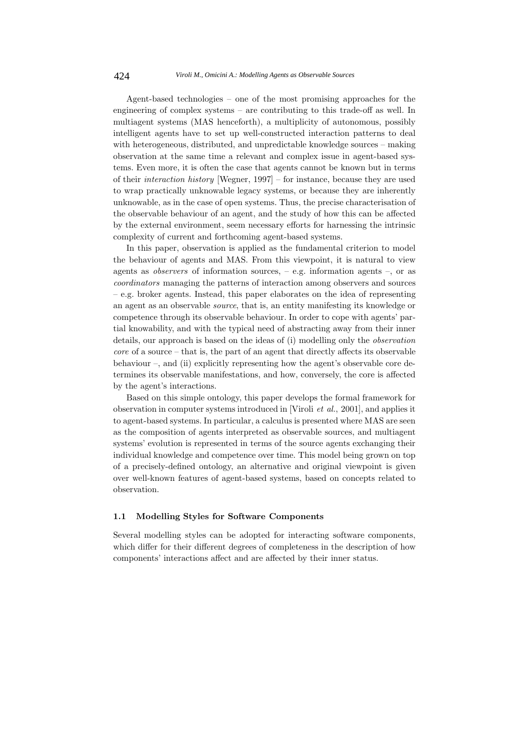Agent-based technologies – one of the most promising approaches for the engineering of complex systems – are contributing to this trade-off as well. In multiagent systems (MAS henceforth), a multiplicity of autonomous, possibly intelligent agents have to set up well-constructed interaction patterns to deal with heterogeneous, distributed, and unpredictable knowledge sources – making observation at the same time a relevant and complex issue in agent-based systems. Even more, it is often the case that agents cannot be known but in terms of their *interaction history* [Wegner, 1997] – for instance, because they are used to wrap practically unknowable legacy systems, or because they are inherently unknowable, as in the case of open systems. Thus, the precise characterisation of the observable behaviour of an agent, and the study of how this can be affected by the external environment, seem necessary efforts for harnessing the intrinsic complexity of current and forthcoming agent-based systems.

In this paper, observation is applied as the fundamental criterion to model the behaviour of agents and MAS. From this viewpoint, it is natural to view agents as *observers* of information sources, – e.g. information agents –, or as *coordinators* managing the patterns of interaction among observers and sources – e.g. broker agents. Instead, this paper elaborates on the idea of representing an agent as an observable *source*, that is, an entity manifesting its knowledge or competence through its observable behaviour. In order to cope with agents' partial knowability, and with the typical need of abstracting away from their inner details, our approach is based on the ideas of (i) modelling only the *observation core* of a source – that is, the part of an agent that directly affects its observable behaviour –, and (ii) explicitly representing how the agent's observable core determines its observable manifestations, and how, conversely, the core is affected by the agent's interactions.

Based on this simple ontology, this paper develops the formal framework for observation in computer systems introduced in [Viroli *et al.*, 2001], and applies it to agent-based systems. In particular, a calculus is presented where MAS are seen as the composition of agents interpreted as observable sources, and multiagent systems' evolution is represented in terms of the source agents exchanging their individual knowledge and competence over time. This model being grown on top of a precisely-defined ontology, an alternative and original viewpoint is given over well-known features of agent-based systems, based on concepts related to observation.

## **1.1 Modelling Styles for Software Components**

Several modelling styles can be adopted for interacting software components, which differ for their different degrees of completeness in the description of how components' interactions affect and are affected by their inner status.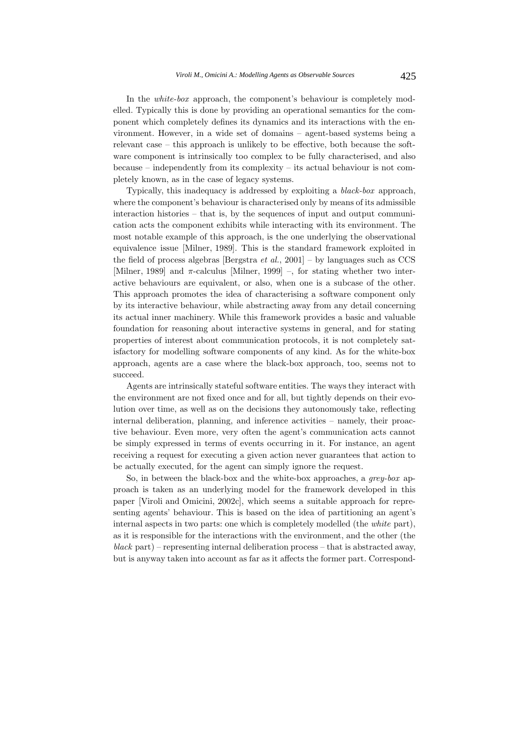In the *white-box* approach, the component's behaviour is completely modelled. Typically this is done by providing an operational semantics for the component which completely defines its dynamics and its interactions with the environment. However, in a wide set of domains – agent-based systems being a relevant case – this approach is unlikely to be effective, both because the software component is intrinsically too complex to be fully characterised, and also because – independently from its complexity – its actual behaviour is not completely known, as in the case of legacy systems.

Typically, this inadequacy is addressed by exploiting a *black-box* approach, where the component's behaviour is characterised only by means of its admissible interaction histories – that is, by the sequences of input and output communication acts the component exhibits while interacting with its environment. The most notable example of this approach, is the one underlying the observational equivalence issue [Milner, 1989]. This is the standard framework exploited in the field of process algebras [Bergstra *et al.*, 2001] – by languages such as CCS [Milner, 1989] and  $\pi$ -calculus [Milner, 1999] –, for stating whether two interactive behaviours are equivalent, or also, when one is a subcase of the other. This approach promotes the idea of characterising a software component only by its interactive behaviour, while abstracting away from any detail concerning its actual inner machinery. While this framework provides a basic and valuable foundation for reasoning about interactive systems in general, and for stating properties of interest about communication protocols, it is not completely satisfactory for modelling software components of any kind. As for the white-box approach, agents are a case where the black-box approach, too, seems not to succeed.

Agents are intrinsically stateful software entities. The ways they interact with the environment are not fixed once and for all, but tightly depends on their evolution over time, as well as on the decisions they autonomously take, reflecting internal deliberation, planning, and inference activities – namely, their proactive behaviour. Even more, very often the agent's communication acts cannot be simply expressed in terms of events occurring in it. For instance, an agent receiving a request for executing a given action never guarantees that action to be actually executed, for the agent can simply ignore the request.

So, in between the black-box and the white-box approaches, a *grey-box* approach is taken as an underlying model for the framework developed in this paper [Viroli and Omicini, 2002c], which seems a suitable approach for representing agents' behaviour. This is based on the idea of partitioning an agent's internal aspects in two parts: one which is completely modelled (the *white* part), as it is responsible for the interactions with the environment, and the other (the *black* part) – representing internal deliberation process – that is abstracted away, but is anyway taken into account as far as it affects the former part. Correspond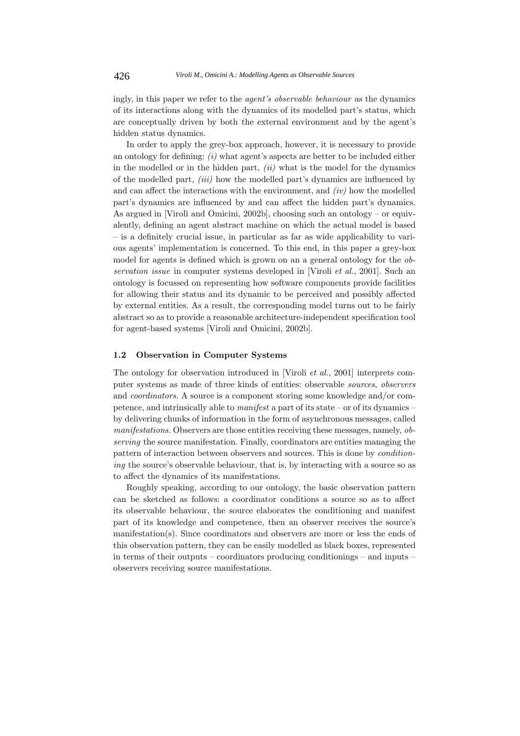ingly, in this paper we refer to the *agent's observable behaviour* as the dynamics of its interactions along with the dynamics of its modelled part's status, which are conceptually driven by both the external environment and by the agent's hidden status dynamics.

In order to apply the grey-box approach, however, it is necessary to provide an ontology for defining: *(i)* what agent's aspects are better to be included either in the modelled or in the hidden part, *(ii)* what is the model for the dynamics of the modelled part, *(iii)* how the modelled part's dynamics are influenced by and can affect the interactions with the environment, and *(iv)* how the modelled part's dynamics are influenced by and can affect the hidden part's dynamics. As argued in [Viroli and Omicini, 2002b], choosing such an ontology – or equivalently, defining an agent abstract machine on which the actual model is based – is a definitely crucial issue, in particular as far as wide applicability to various agents' implementation is concerned. To this end, in this paper a grey-box model for agents is defined which is grown on an a general ontology for the *observation issue* in computer systems developed in [Viroli *et al.*, 2001]. Such an ontology is focussed on representing how software components provide facilities for allowing their status and its dynamic to be perceived and possibly affected by external entities. As a result, the corresponding model turns out to be fairly abstract so as to provide a reasonable architecture-independent specification tool for agent-based systems [Viroli and Omicini, 2002b].

#### **1.2 Observation in Computer Systems**

The ontology for observation introduced in [Viroli *et al.*, 2001] interprets computer systems as made of three kinds of entities: observable *sources*, *observers* and *coordinators*. A source is a component storing some knowledge and/or competence, and intrinsically able to *manifest* a part of its state – or of its dynamics – by delivering chunks of information in the form of asynchronous messages, called *manifestations*. Observers are those entities receiving these messages, namely, *observing* the source manifestation. Finally, coordinators are entities managing the pattern of interaction between observers and sources. This is done by *conditioning* the source's observable behaviour, that is, by interacting with a source so as to affect the dynamics of its manifestations.

Roughly speaking, according to our ontology, the basic observation pattern can be sketched as follows: a coordinator conditions a source so as to affect its observable behaviour, the source elaborates the conditioning and manifest part of its knowledge and competence, then an observer receives the source's manifestation(s). Since coordinators and observers are more or less the ends of this observation pattern, they can be easily modelled as black boxes, represented in terms of their outputs – coordinators producing conditionings – and inputs – observers receiving source manifestations.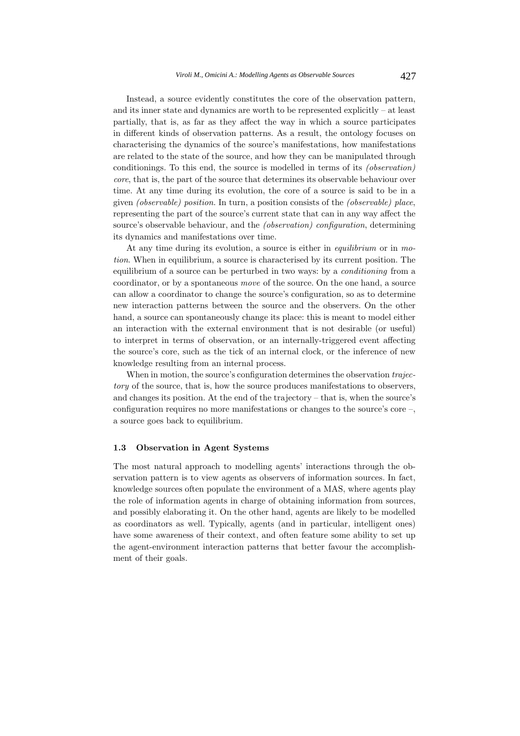Instead, a source evidently constitutes the core of the observation pattern, and its inner state and dynamics are worth to be represented explicitly – at least partially, that is, as far as they affect the way in which a source participates in different kinds of observation patterns. As a result, the ontology focuses on characterising the dynamics of the source's manifestations, how manifestations are related to the state of the source, and how they can be manipulated through conditionings. To this end, the source is modelled in terms of its *(observation) core*, that is, the part of the source that determines its observable behaviour over time. At any time during its evolution, the core of a source is said to be in a given *(observable) position*. In turn, a position consists of the *(observable) place*, representing the part of the source's current state that can in any way affect the source's observable behaviour, and the *(observation) configuration*, determining its dynamics and manifestations over time.

At any time during its evolution, a source is either in *equilibrium* or in *motion*. When in equilibrium, a source is characterised by its current position. The equilibrium of a source can be perturbed in two ways: by a *conditioning* from a coordinator, or by a spontaneous *move* of the source. On the one hand, a source can allow a coordinator to change the source's configuration, so as to determine new interaction patterns between the source and the observers. On the other hand, a source can spontaneously change its place: this is meant to model either an interaction with the external environment that is not desirable (or useful) to interpret in terms of observation, or an internally-triggered event affecting the source's core, such as the tick of an internal clock, or the inference of new knowledge resulting from an internal process.

When in motion, the source's configuration determines the observation *trajectory* of the source, that is, how the source produces manifestations to observers, and changes its position. At the end of the trajectory – that is, when the source's configuration requires no more manifestations or changes to the source's core –, a source goes back to equilibrium.

## **1.3 Observation in Agent Systems**

The most natural approach to modelling agents' interactions through the observation pattern is to view agents as observers of information sources. In fact, knowledge sources often populate the environment of a MAS, where agents play the role of information agents in charge of obtaining information from sources, and possibly elaborating it. On the other hand, agents are likely to be modelled as coordinators as well. Typically, agents (and in particular, intelligent ones) have some awareness of their context, and often feature some ability to set up the agent-environment interaction patterns that better favour the accomplishment of their goals.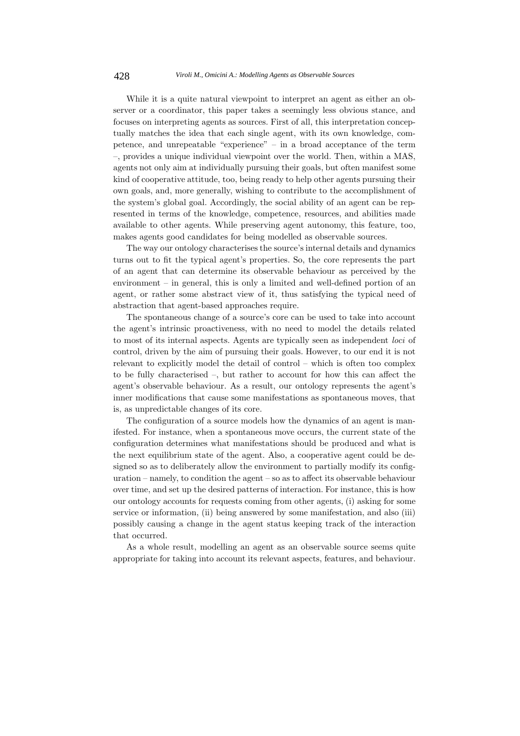While it is a quite natural viewpoint to interpret an agent as either an observer or a coordinator, this paper takes a seemingly less obvious stance, and focuses on interpreting agents as sources. First of all, this interpretation conceptually matches the idea that each single agent, with its own knowledge, competence, and unrepeatable "experience" – in a broad acceptance of the term –, provides a unique individual viewpoint over the world. Then, within a MAS, agents not only aim at individually pursuing their goals, but often manifest some kind of cooperative attitude, too, being ready to help other agents pursuing their own goals, and, more generally, wishing to contribute to the accomplishment of the system's global goal. Accordingly, the social ability of an agent can be represented in terms of the knowledge, competence, resources, and abilities made available to other agents. While preserving agent autonomy, this feature, too, makes agents good candidates for being modelled as observable sources.

The way our ontology characterises the source's internal details and dynamics turns out to fit the typical agent's properties. So, the core represents the part of an agent that can determine its observable behaviour as perceived by the environment – in general, this is only a limited and well-defined portion of an agent, or rather some abstract view of it, thus satisfying the typical need of abstraction that agent-based approaches require.

The spontaneous change of a source's core can be used to take into account the agent's intrinsic proactiveness, with no need to model the details related to most of its internal aspects. Agents are typically seen as independent *loci* of control, driven by the aim of pursuing their goals. However, to our end it is not relevant to explicitly model the detail of control – which is often too complex to be fully characterised –, but rather to account for how this can affect the agent's observable behaviour. As a result, our ontology represents the agent's inner modifications that cause some manifestations as spontaneous moves, that is, as unpredictable changes of its core.

The configuration of a source models how the dynamics of an agent is manifested. For instance, when a spontaneous move occurs, the current state of the configuration determines what manifestations should be produced and what is the next equilibrium state of the agent. Also, a cooperative agent could be designed so as to deliberately allow the environment to partially modify its configuration – namely, to condition the agent – so as to affect its observable behaviour over time, and set up the desired patterns of interaction. For instance, this is how our ontology accounts for requests coming from other agents, (i) asking for some service or information, (ii) being answered by some manifestation, and also (iii) possibly causing a change in the agent status keeping track of the interaction that occurred.

As a whole result, modelling an agent as an observable source seems quite appropriate for taking into account its relevant aspects, features, and behaviour.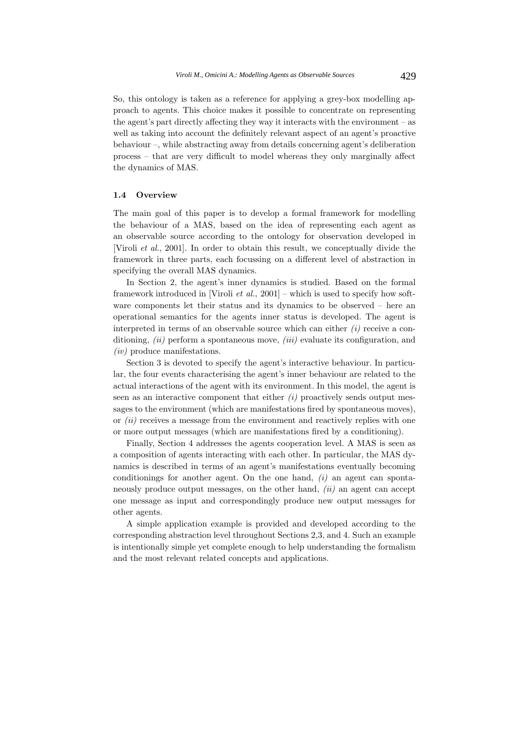So, this ontology is taken as a reference for applying a grey-box modelling approach to agents. This choice makes it possible to concentrate on representing the agent's part directly affecting they way it interacts with the environment – as well as taking into account the definitely relevant aspect of an agent's proactive behaviour –, while abstracting away from details concerning agent's deliberation process – that are very difficult to model whereas they only marginally affect the dynamics of MAS.

### **1.4 Overview**

The main goal of this paper is to develop a formal framework for modelling the behaviour of a MAS, based on the idea of representing each agent as an observable source according to the ontology for observation developed in [Viroli *et al.*, 2001]. In order to obtain this result, we conceptually divide the framework in three parts, each focussing on a different level of abstraction in specifying the overall MAS dynamics.

In Section 2, the agent's inner dynamics is studied. Based on the formal framework introduced in [Viroli *et al.*, 2001] – which is used to specify how software components let their status and its dynamics to be observed – here an operational semantics for the agents inner status is developed. The agent is interpreted in terms of an observable source which can either *(i)* receive a conditioning, *(ii)* perform a spontaneous move, *(iii)* evaluate its configuration, and *(iv)* produce manifestations.

Section 3 is devoted to specify the agent's interactive behaviour. In particular, the four events characterising the agent's inner behaviour are related to the actual interactions of the agent with its environment. In this model, the agent is seen as an interactive component that either *(i)* proactively sends output messages to the environment (which are manifestations fired by spontaneous moves), or *(ii)* receives a message from the environment and reactively replies with one or more output messages (which are manifestations fired by a conditioning).

Finally, Section 4 addresses the agents cooperation level. A MAS is seen as a composition of agents interacting with each other. In particular, the MAS dynamics is described in terms of an agent's manifestations eventually becoming conditionings for another agent. On the one hand, *(i)* an agent can spontaneously produce output messages, on the other hand, *(ii)* an agent can accept one message as input and correspondingly produce new output messages for other agents.

A simple application example is provided and developed according to the corresponding abstraction level throughout Sections 2,3, and 4. Such an example is intentionally simple yet complete enough to help understanding the formalism and the most relevant related concepts and applications.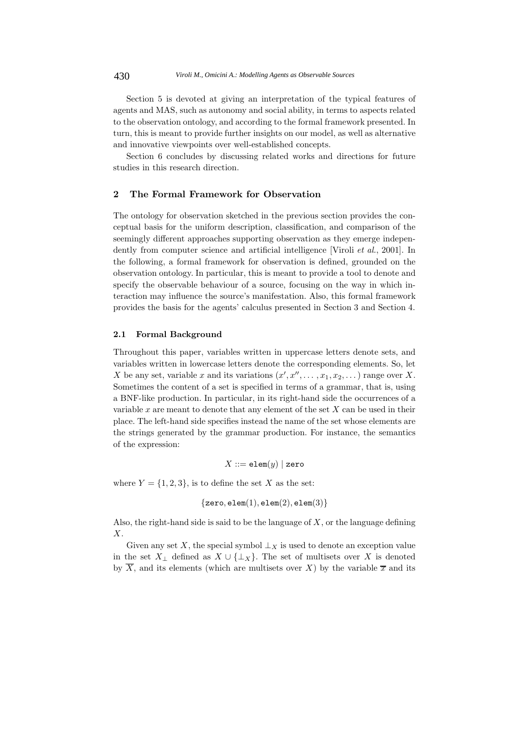Section 5 is devoted at giving an interpretation of the typical features of agents and MAS, such as autonomy and social ability, in terms to aspects related to the observation ontology, and according to the formal framework presented. In turn, this is meant to provide further insights on our model, as well as alternative and innovative viewpoints over well-established concepts.

Section 6 concludes by discussing related works and directions for future studies in this research direction.

## **2 The Formal Framework for Observation**

The ontology for observation sketched in the previous section provides the conceptual basis for the uniform description, classification, and comparison of the seemingly different approaches supporting observation as they emerge independently from computer science and artificial intelligence [Viroli *et al.*, 2001]. In the following, a formal framework for observation is defined, grounded on the observation ontology. In particular, this is meant to provide a tool to denote and specify the observable behaviour of a source, focusing on the way in which interaction may influence the source's manifestation. Also, this formal framework provides the basis for the agents' calculus presented in Section 3 and Section 4.

## **2.1 Formal Background**

Throughout this paper, variables written in uppercase letters denote sets, and variables written in lowercase letters denote the corresponding elements. So, let X be any set, variable x and its variations  $(x', x'', \ldots, x_1, x_2, \ldots)$  range over X. Sometimes the content of a set is specified in terms of a grammar, that is, using a BNF-like production. In particular, in its right-hand side the occurrences of a variable  $x$  are meant to denote that any element of the set  $X$  can be used in their place. The left-hand side specifies instead the name of the set whose elements are the strings generated by the grammar production. For instance, the semantics of the expression:

$$
X ::= \mathtt{elem}(y) \mid \mathtt{zero}
$$

where  $Y = \{1, 2, 3\}$ , is to define the set X as the set:

$$
\{ {\sf zero}, {\sf elem}(1), {\sf elem}(2), {\sf elem}(3) \}
$$

Also, the right-hand side is said to be the language of  $X$ , or the language defining X.

Given any set X, the special symbol  $\perp_X$  is used to denote an exception value in the set  $X_{\perp}$  defined as  $X \cup {\perp_X}$ . The set of multisets over X is denoted by  $\overline{X}$ , and its elements (which are multisets over X) by the variable  $\overline{x}$  and its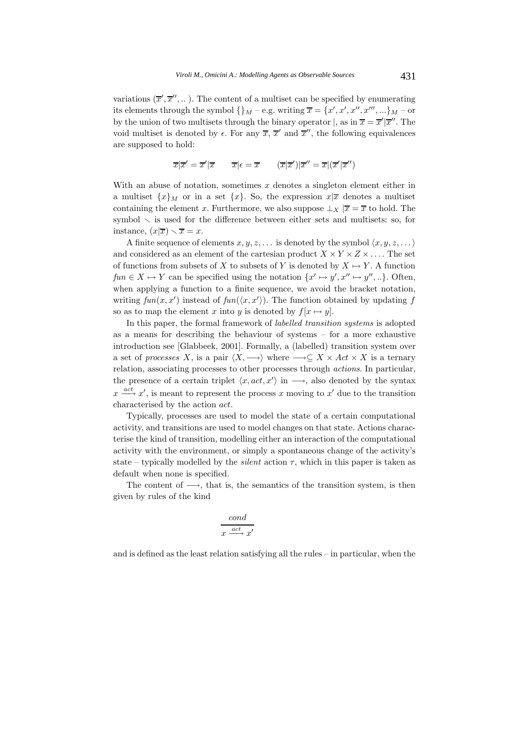variations  $(\overline{x}', \overline{x}'', ...)$ . The content of a multiset can be specified by enumerating its elements through the symbol  $\{\}_M -$  e.g. writing  $\overline{x} = \{x', x', x'', x''', ...\}_M -$  or by the union of two multisets through the binary operator |, as in  $\bar{x} = \bar{x}'|\bar{x}''$ . The void multiset is denoted by  $\epsilon$ . For any  $\overline{x}$ ,  $\overline{x}'$  and  $\overline{x}''$ , the following equivalences are supposed to hold:

$$
\overline{x}|\overline{x}' = \overline{x}'|\overline{x} \qquad \overline{x}|\epsilon = \overline{x} \qquad (\overline{x}|\overline{x}')|\overline{x}'' = \overline{x}|(\overline{x}'|\overline{x}'')
$$

With an abuse of notation, sometimes  $x$  denotes a singleton element either in a multiset  $\{x\}_M$  or in a set  $\{x\}$ . So, the expression  $x|\overline{x}$  denotes a multiset containing the element x. Furthermore, we also suppose  $\pm \chi \vert \overline{x} = \overline{x}$  to hold. The symbol  $\backsim$  is used for the difference between either sets and multisets: so, for instance,  $(x|\overline{x}) \setminus \overline{x} = x$ .

A finite sequence of elements  $x, y, z, \ldots$  is denoted by the symbol  $\langle x, y, z, \ldots \rangle$ and considered as an element of the cartesian product  $X \times Y \times Z \times \ldots$ . The set of functions from subsets of X to subsets of Y is denoted by  $X \mapsto Y$ . A function  $fun \in X \mapsto Y$  can be specified using the notation  $\{x' \mapsto y', x'' \mapsto y'', ...\}$ . Often, when applying a function to a finite sequence, we avoid the bracket notation, writing  $fun(x, x')$  instead of  $fun(\langle x, x' \rangle)$ . The function obtained by updating f so as to map the element x into y is denoted by  $f[x \mapsto y]$ .

In this paper, the formal framework of *labelled transition systems* is adopted as a means for describing the behaviour of systems – for a more exhaustive introduction see [Glabbeek, 2001]. Formally, a (labelled) transition system over a set of *processes* X, is a pair  $\langle X, \longrightarrow \rangle$  where  $\longrightarrow \subseteq X \times Act \times X$  is a ternary relation, associating processes to other processes through *actions*. In particular, the presence of a certain triplet  $\langle x, act, x' \rangle$  in  $\longrightarrow$ , also denoted by the syntax  $x \stackrel{act}{\longrightarrow} x'$ , is meant to represent the process x moving to  $x'$  due to the transition characterised by the action act.

Typically, processes are used to model the state of a certain computational activity, and transitions are used to model changes on that state. Actions characterise the kind of transition, modelling either an interaction of the computational activity with the environment, or simply a spontaneous change of the activity's state – typically modelled by the *silent* action  $\tau$ , which in this paper is taken as default when none is specified.

The content of  $\longrightarrow$ , that is, the semantics of the transition system, is then given by rules of the kind

$$
\frac{cond}{x \xrightarrow{act} x'}
$$

and is defined as the least relation satisfying all the rules – in particular, when the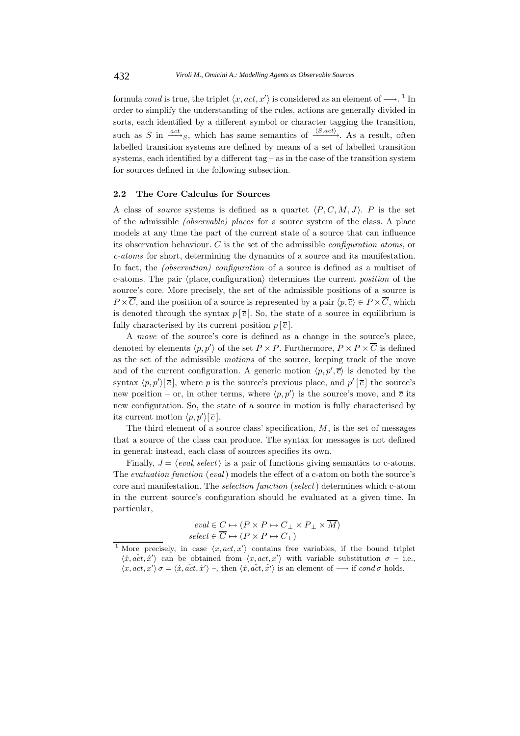formula *cond* is true, the triplet  $\langle x, act, x' \rangle$  is considered as an element of  $\longrightarrow$ .<sup>1</sup> In order to simplify the understanding of the rules, actions are generally divided in sorts, each identified by a different symbol or character tagging the transition, such as S in  $\frac{act}{\longrightarrow_S}$ , which has same semantics of  $\frac{\langle S, act \rangle}{\longrightarrow}$ . As a result, often labelled transition systems are defined by means of a set of labelled transition systems, each identified by a different tag – as in the case of the transition system for sources defined in the following subsection.

### **2.2 The Core Calculus for Sources**

A class of *source* systems is defined as a quartet  $\langle P, C, M, J \rangle$ . P is the set of the admissible *(observable) places* for a source system of the class. A place models at any time the part of the current state of a source that can influence its observation behaviour. C is the set of the admissible *configuration atoms*, or *c-atoms* for short, determining the dynamics of a source and its manifestation. In fact, the *(observation) configuration* of a source is defined as a multiset of c-atoms. The pair  $\langle$  place, configuration determines the current *position* of the source's core. More precisely, the set of the admissible positions of a source is  $P \times \overline{C}$ , and the position of a source is represented by a pair  $\langle p, \overline{c} \rangle \in P \times \overline{C}$ , which is denoted through the syntax  $p[\bar{c}]$ . So, the state of a source in equilibrium is fully characterised by its current position  $p[\bar{c}]$ .

A *move* of the source's core is defined as a change in the source's place, denoted by elements  $\langle p, p' \rangle$  of the set  $P \times P$ . Furthermore,  $P \times P \times \overline{C}$  is defined as the set of the admissible *motions* of the source, keeping track of the move and of the current configuration. A generic motion  $\langle p, p', \overline{c} \rangle$  is denoted by the syntax  $\langle p, p' \rangle [\overline{c}]$ , where p is the source's previous place, and  $p' [\overline{c}]$  the source's new position – or, in other terms, where  $\langle p, p' \rangle$  is the source's move, and  $\bar{c}$  its new configuration. So, the state of a source in motion is fully characterised by its current motion  $\langle p, p' \rangle [\overline{c}].$ 

The third element of a source class' specification,  $M$ , is the set of messages that a source of the class can produce. The syntax for messages is not defined in general: instead, each class of sources specifies its own.

Finally,  $J = \langle eval, select \rangle$  is a pair of functions giving semantics to c-atoms. The *evaluation function* (*eval*) models the effect of a c-atom on both the source's core and manifestation. The *selection function* (*select*) determines which c-atom in the current source's configuration should be evaluated at a given time. In particular,

$$
eval \in C \mapsto (P \times P \mapsto C_{\perp} \times P_{\perp} \times \overline{M})
$$
  

$$
select \in \overline{C} \mapsto (P \times P \mapsto C_{\perp})
$$

<sup>&</sup>lt;sup>1</sup> More precisely, in case  $\langle x, act, x' \rangle$  contains free variables, if the bound triplet  $\langle \hat{x}, \hat{act}, \hat{x}' \rangle$  can be obtained from  $\langle x, \hat{act}, x' \rangle$  with variable substitution  $\sigma$  - i.e.,  $\langle x, act, x' \rangle \sigma = \langle \hat{x}, \hat{act}, \hat{x}' \rangle$  -, then  $\langle \hat{x}, \hat{act}, \hat{x}' \rangle$  is an element of  $\longrightarrow$  if  $cond \sigma$  holds.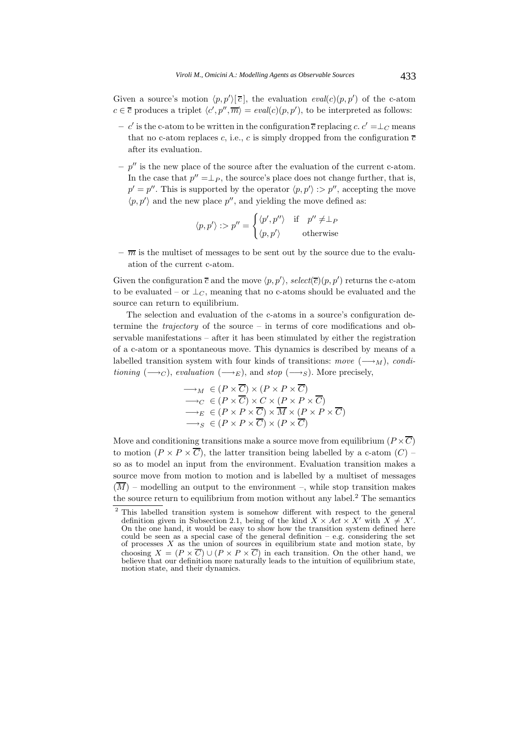Given a source's motion  $\langle p, p' \rangle [\overline{c}]$ , the evaluation *eval*(*c*)(*p*, *p'*) of the c-atom  $c \in \overline{c}$  produces a triplet  $\langle c', p'', \overline{m} \rangle = \text{eval}(c)(p, p')$ , to be interpreted as follows:

- $c'$  is the c-atom to be written in the configuration  $\overline{c}$  replacing c.  $c' = \perp_C$  means that no c-atom replaces c, i.e., c is simply dropped from the configuration  $\overline{c}$ after its evaluation.
- $-p''$  is the new place of the source after the evaluation of the current c-atom. In the case that  $p'' = \perp_P$ , the source's place does not change further, that is,  $p' = p''$ . This is supported by the operator  $\langle p, p' \rangle : p''$ , accepting the move  $\langle p, p' \rangle$  and the new place p'', and yielding the move defined as:

$$
\langle p, p' \rangle : > p'' = \begin{cases} \langle p', p'' \rangle & \text{if } p'' \neq \perp_P \\ \langle p, p' \rangle & \text{otherwise} \end{cases}
$$

 $-\overline{m}$  is the multiset of messages to be sent out by the source due to the evaluation of the current c-atom.

Given the configuration  $\bar{c}$  and the move  $\langle p, p' \rangle$ , select $(\bar{c})(p, p')$  returns the c-atom to be evaluated – or  $\perp_C$ , meaning that no c-atoms should be evaluated and the source can return to equilibrium.

The selection and evaluation of the c-atoms in a source's configuration determine the *trajectory* of the source – in terms of core modifications and observable manifestations – after it has been stimulated by either the registration of a c-atom or a spontaneous move. This dynamics is described by means of a labelled transition system with four kinds of transitions: *move*  $(\longrightarrow_M)$ , *conditioning* ( $\longrightarrow_C$ ), *evaluation* ( $\longrightarrow_E$ ), and *stop* ( $\longrightarrow_S$ ). More precisely,

$$
\neg M \in (P \times \overline{C}) \times (P \times P \times \overline{C})
$$
\n
$$
\neg C \in (P \times \overline{C}) \times C \times (P \times P \times \overline{C})
$$
\n
$$
\neg E \in (P \times P \times \overline{C}) \times \overline{M} \times (P \times P \times \overline{C})
$$
\n
$$
\neg S \in (P \times P \times \overline{C}) \times (P \times \overline{C})
$$

Move and conditioning transitions make a source move from equilibrium ( $P \times \overline{C}$ ) to motion  $(P \times P \times \overline{C})$ , the latter transition being labelled by a c-atom  $(C)$  – so as to model an input from the environment. Evaluation transition makes a source move from motion to motion and is labelled by a multiset of messages  $(\overline{M})$  – modelling an output to the environment –, while stop transition makes the source return to equilibrium from motion without any label.<sup>2</sup> The semantics

<sup>&</sup>lt;sup>2</sup> This labelled transition system is somehow different with respect to the general definition given in Subsection 2.1, being of the kind  $X \times Act \times X'$  with  $X \neq X'$ .<br>On the one hand, it would be easy to show how the transition system defined here could be seen as a special case of the general definition – e.g. considering the set of processes  $X$  as the union of sources in equilibrium state and motion state, by choosing  $X = (P \times \overline{C}) \cup (P \times P \times \overline{C})$  in each transition. On the other hand, we believe that our definition more naturally leads to the intuition of equilibrium state, motion state, and their dynamics.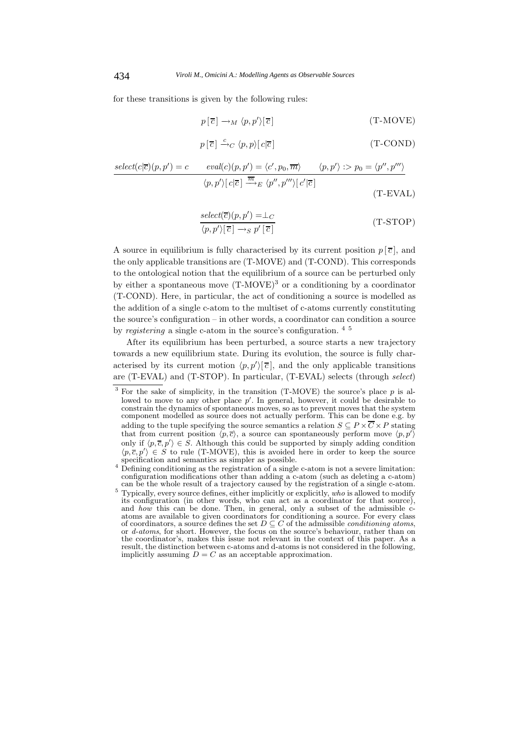for these transitions is given by the following rules:

$$
p\left[\overline{c}\right] \to_M \langle p, p'\rangle \left[\overline{c}\right] \tag{T-MOVE}
$$

$$
p[\overline{c}] \xrightarrow{c} \langle p, p \rangle [c|\overline{c}]
$$
 (T-COND)

$$
select(c|\overline{c})(p, p') = c \t eval(c)(p, p') = \langle c', p_0, \overline{m} \rangle \qquad \langle p, p' \rangle : > p_0 = \langle p'', p''' \rangle
$$

$$
\langle p, p' \rangle [c|\overline{c}] \xrightarrow{\overline{m}} E \langle p'', p''' \rangle [c'|\overline{c}]
$$
(T-EVAL)

$$
\begin{aligned} select(\overline{c})(p, p') &= \perp_C\\ \langle p, p' \rangle[\overline{c}] &\longrightarrow_{S} p'[\overline{c}] \end{aligned} \tag{T-STOP}
$$

A source in equilibrium is fully characterised by its current position  $p[\overline{c}]$ , and the only applicable transitions are (T-MOVE) and (T-COND). This corresponds to the ontological notion that the equilibrium of a source can be perturbed only by either a spontaneous move  $(T-MOVE)^3$  or a conditioning by a coordinator (T-COND). Here, in particular, the act of conditioning a source is modelled as the addition of a single c-atom to the multiset of c-atoms currently constituting the source's configuration – in other words, a coordinator can condition a source by *registering* a single c-atom in the source's configuration. 4 5

After its equilibrium has been perturbed, a source starts a new trajectory towards a new equilibrium state. During its evolution, the source is fully characterised by its current motion  $\langle p, p' \rangle [\overline{c}]$ , and the only applicable transitions are (T-EVAL) and (T-STOP). In particular, (T-EVAL) selects (through *select*)

 $3$  For the sake of simplicity, in the transition (T-MOVE) the source's place  $p$  is allowed to move to any other place  $p'$ . In general, however, it could be desirable to constrain the dynamics of spontaneous moves, so as to prevent moves that the system component modelled as source does not actually perform. This can be done e.g. by adding to the tuple specifying the source semantics a relation  $S \subseteq P \times \overline{C} \times P$  stating that from current position  $\langle p, \overline{c} \rangle$ , a source can spontaneously perform move  $\langle p, p \rangle$ only if  $\langle p, \overline{c}, p' \rangle \in S$ . Although this could be supported by simply adding condition  $\langle p, \overline{c}, p' \rangle \in S$  to rule (T-MOVE), this is avoided here in order to keep the source

specification and semantics as simpler as possible.<br><sup>4</sup> Defining conditioning as the registration of a single c-atom is not a severe limitation: configuration modifications other than adding a c-atom (such as deleting a c-atom) can be the whole result of a trajectory caused by the registration of a single c-atom.

<sup>&</sup>lt;sup>5</sup> Typically, every source defines, either implicitly or explicitly, *who* is allowed to modify its configuration (in other words, who can act as a coordinator for that source), and *how* this can be done. Then, in general, only a subset of the admissible catoms are available to given coordinators for conditioning a source. For every class<br>of coordinators, a source defines the set  $D \subseteq C$  of the admissible *conditioning atoms*,<br>or *d*-atoms, for short. However, the focus on the coordinator's, makes this issue not relevant in the context of this paper. As a result, the distinction between c-atoms and d-atoms is not considered in the following, implicitly assuming  $D = C$  as an acceptable approximation.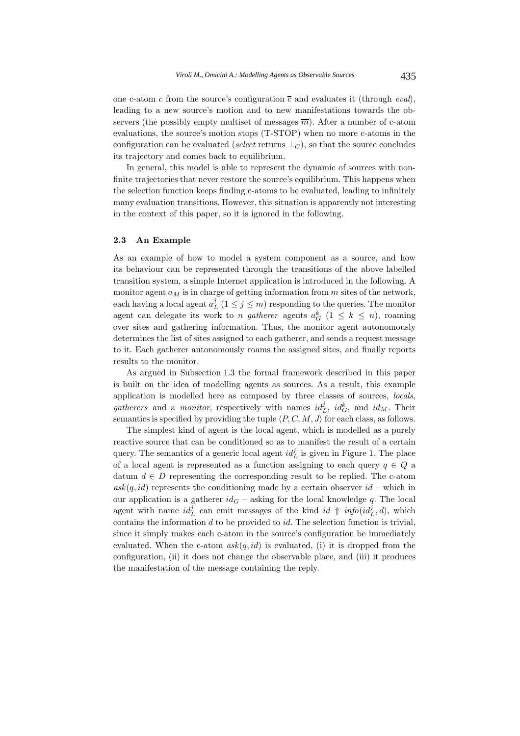one c-atom c from the source's configuration  $\overline{c}$  and evaluates it (through *eval*), leading to a new source's motion and to new manifestations towards the observers (the possibly empty multiset of messages  $\overline{m}$ ). After a number of c-atom evaluations, the source's motion stops (T-STOP) when no more c-atoms in the configuration can be evaluated (*select* returns  $\perp_C$ ), so that the source concludes its trajectory and comes back to equilibrium.

In general, this model is able to represent the dynamic of sources with nonfinite trajectories that never restore the source's equilibrium. This happens when the selection function keeps finding c-atoms to be evaluated, leading to infinitely many evaluation transitions. However, this situation is apparently not interesting in the context of this paper, so it is ignored in the following.

### **2.3 An Example**

As an example of how to model a system component as a source, and how its behaviour can be represented through the transitions of the above labelled transition system, a simple Internet application is introduced in the following. A monitor agent  $a_M$  is in charge of getting information from m sites of the network, each having a local agent  $a_L^j$   $(1 \leq j \leq m)$  responding to the queries. The monitor agent can delegate its work to *n gatherer* agents  $a_G^k$  ( $1 \leq k \leq n$ ), roaming over sites and gathering information. Thus, the monitor agent autonomously determines the list of sites assigned to each gatherer, and sends a request message to it. Each gatherer autonomously roams the assigned sites, and finally reports results to the monitor.

As argued in Subsection 1.3 the formal framework described in this paper is built on the idea of modelling agents as sources. As a result, this example application is modelled here as composed by three classes of sources, *locals*, *gatherers* and a *monitor*, respectively with names  $id_L^j$ ,  $id_G^k$ , and  $id_M$ . Their semantics is specified by providing the tuple  $\langle P, C, M, J \rangle$  for each class, as follows.

The simplest kind of agent is the local agent, which is modelled as a purely reactive source that can be conditioned so as to manifest the result of a certain query. The semantics of a generic local agent  $id_L^j$  is given in Figure 1. The place of a local agent is represented as a function assigning to each query  $q \in Q$  a datum  $d \in D$  representing the corresponding result to be replied. The c-atom  $ask(q, id)$  represents the conditioning made by a certain observer  $id$  – which in our application is a gatherer  $id_G$  – asking for the local knowledge q. The local agent with name  $id_L^j$  can emit messages of the kind  $id \, \Uparrow \, info(id_L^j, d)$ , which contains the information  $d$  to be provided to  $id$ . The selection function is trivial, since it simply makes each c-atom in the source's configuration be immediately evaluated. When the c-atom  $ask(q, id)$  is evaluated, (i) it is dropped from the configuration, (ii) it does not change the observable place, and (iii) it produces the manifestation of the message containing the reply.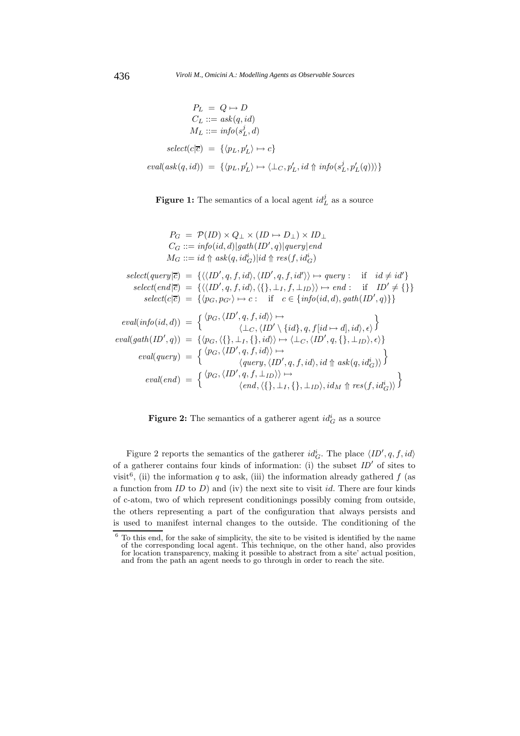$$
P_L = Q \mapsto D
$$
  
\n
$$
C_L ::= ask(q, id)
$$
  
\n
$$
M_L ::= info(s_L^j, d)
$$
  
\n
$$
select(c | \overline{c}) = \{ \langle p_L, p'_L \rangle \mapsto c \}
$$
  
\n
$$
eval(ask(q, id)) = \{ \langle p_L, p'_L \rangle \mapsto \langle \bot_C, p'_L, id \uparrow info(s_L^j, p'_L(q)) \rangle \}
$$



$$
P_G = \mathcal{P}(ID) \times Q_{\perp} \times (ID \rightarrow D_{\perp}) \times ID_{\perp}
$$
  
\n
$$
C_G ::= info(id, d)|gath(ID', q)|query|end
$$
  
\n
$$
M_G ::= id \uparrow ask(q, id_G^i)|id \uparrow res(f, id_G^i)
$$
  
\n
$$
select(query | \overline{c}) = \{ \langle \langle ID', q, f, id \rangle, \langle ID', q, f, id' \rangle \rangle \mapsto query : \text{ if } id \neq id' \}
$$
  
\n
$$
select(end | \overline{c}) = \{ \langle \langle ID', q, f, id \rangle, \langle I, L, f, LID \rangle \rangle \mapsto end : \text{ if } ID' \neq \{ \} \}
$$
  
\n
$$
select(c | \overline{c}) = \{ \langle p_G, p_{G'} \rangle \mapsto c : \text{ if } c \in \{info(id, d), gath(ID', q) \} \}
$$
  
\n
$$
eval(info(id, d)) = \{ \langle p_G, \langle ID', q, f, id \rangle \rangle \mapsto \langle L_C, \langle ID', q, \{ \} , LID \rangle, \epsilon \rangle \}
$$
  
\n
$$
eval(gath(ID', q)) = \{ \langle p_G, \langle \{ \}, L_I, \{ \}, id \rangle \rangle \mapsto \langle L_C, \langle ID', q, \{ \}, LID \rangle, \epsilon \rangle \}
$$
  
\n
$$
eval(query) = \{ \langle p_G, \langle ID', q, f, id \rangle \rangle \mapsto \langle L_C, \langle ID', q, \{ \}, LID \rangle, \epsilon \rangle \}
$$
  
\n
$$
eval(query) = \{ \langle p_G, \langle ID', q, f, LID \rangle \rangle \mapsto \langle q_u, \langle \{ \}, L_I, \{ \}, LID \rangle, id_M \uparrow res(f, id_G^i \rangle \rangle \}
$$

**Figure 2:** The semantics of a gatherer agent  $id_G^i$  as a source

Figure 2 reports the semantics of the gatherer  $id_G^i$ . The place  $\langle ID', q, f, id \rangle$ of a gatherer contains four kinds of information: (i) the subset *ID'* of sites to visit<sup>6</sup>, (ii) the information q to ask, (iii) the information already gathered f (as a function from  $ID$  to  $D$ ) and (iv) the next site to visit *id*. There are four kinds of c-atom, two of which represent conditionings possibly coming from outside, the others representing a part of the configuration that always persists and is used to manifest internal changes to the outside. The conditioning of the

 $6\,$  To this end, for the sake of simplicity, the site to be visited is identified by the name of the corresponding local agent. This technique, on the other hand, also provides for location transparency, making it possible to abstract from a site' actual position, and from the path an agent needs to go through in order to reach the site.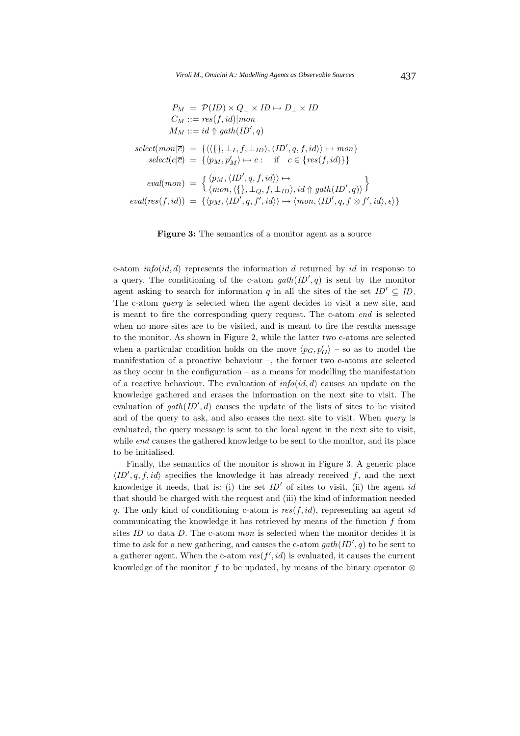$$
P_M = \mathcal{P}(ID) \times Q_\perp \times ID \mapsto D_\perp \times ID
$$
  
\n
$$
C_M ::= res(f, id) | mon
$$
  
\n
$$
M_M ::= id \Uparrow gath(ID', q)
$$

$$
select(mon | \overline{c}) = \{ \langle \langle \{ \}, \bot_I, f, \bot_{ID} \rangle, \langle ID', q, f, id \rangle \rangle \mapsto mon \}
$$

$$
select(c | \overline{c}) = \{ \langle p_M, p'_M \rangle \mapsto c : \text{ if } c \in \{ res(f, id) \} \}
$$

$$
eval(mon) = \{ \langle p_M, \langle ID', q, f, id \rangle \rangle \mapsto
$$

$$
eval(mon) = \{ \langle p_M, \langle ID', q, f, \bot_{ID} \rangle, id \uparrow gath(ID', q) \rangle \}
$$

$$
eval(res(f, id)) = \{ \langle p_M, \langle ID', q, f', id \rangle \rangle \mapsto \langle mon, \langle ID', q, f \otimes f', id \rangle, \epsilon \rangle \}
$$

**Figure 3:** The semantics of a monitor agent as a source

c-atom  $info(id, d)$  represents the information d returned by id in response to a query. The conditioning of the c-atom  $\text{g}ath(\text{ID}',q)$  is sent by the monitor agent asking to search for information q in all the sites of the set  $ID' \subseteq ID$ . The c-atom *query* is selected when the agent decides to visit a new site, and is meant to fire the corresponding query request. The c-atom *end* is selected when no more sites are to be visited, and is meant to fire the results message to the monitor. As shown in Figure 2, while the latter two c-atoms are selected when a particular condition holds on the move  $\langle p_G, p'_G \rangle$  – so as to model the manifestation of a proactive behaviour –, the former two c-atoms are selected as they occur in the configuration – as a means for modelling the manifestation of a reactive behaviour. The evaluation of *info*(id, d) causes an update on the knowledge gathered and erases the information on the next site to visit. The evaluation of  $gath(ID', d)$  causes the update of the lists of sites to be visited and of the query to ask, and also erases the next site to visit. When *query* is evaluated, the query message is sent to the local agent in the next site to visit, while *end* causes the gathered knowledge to be sent to the monitor, and its place to be initialised.

Finally, the semantics of the monitor is shown in Figure 3. A generic place  $\langle ID', q, f, id \rangle$  specifies the knowledge it has already received f, and the next knowledge it needs, that is: (i) the set  $ID'$  of sites to visit, (ii) the agent id that should be charged with the request and (iii) the kind of information needed q. The only kind of conditioning c-atom is  $res(f, id)$ , representing an agent id communicating the knowledge it has retrieved by means of the function  $f$  from sites *ID* to data D. The c-atom *mon* is selected when the monitor decides it is time to ask for a new gathering, and causes the c-atom  $\text{gath}(ID', q)$  to be sent to a gatherer agent. When the c-atom  $res(f', id)$  is evaluated, it causes the current knowledge of the monitor f to be updated, by means of the binary operator  $\otimes$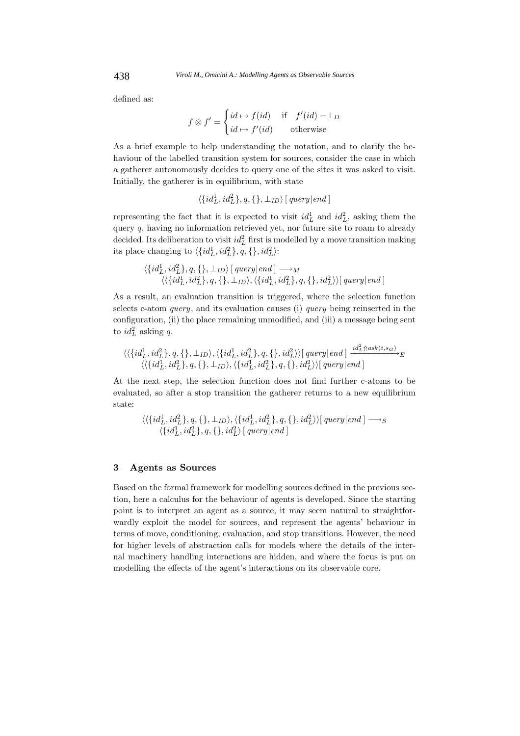defined as:

$$
f \otimes f' = \begin{cases} id \mapsto f(id) & \text{if } f'(id) = \perp_D \\ id \mapsto f'(id) & \text{otherwise} \end{cases}
$$

As a brief example to help understanding the notation, and to clarify the behaviour of the labelled transition system for sources, consider the case in which a gatherer autonomously decides to query one of the sites it was asked to visit. Initially, the gatherer is in equilibrium, with state

 $\langle \{id_L^1, id_L^2\}, q, \{\}, \perp_{ID}\rangle [\text{ query}| \text{end} ]$ 

representing the fact that it is expected to visit  $id_L^1$  and  $id_L^2$ , asking them the query q, having no information retrieved yet, nor future site to roam to already decided. Its deliberation to visit  $id_L^2$  first is modelled by a move transition making its place changing to  $\langle \{id_L^1, id_L^2\}, q, \{\}, id_L^2 \rangle$ :

$$
\langle \{id_L^1, id_L^2\}, q, \{\}, \bot_{ID} \rangle \, [ \, query | end \, ] \longrightarrow_M \\ \langle \langle \{id_L^1, id_L^2\}, q, \{\}, \bot_{ID} \rangle, \langle \{id_L^1, id_L^2\}, q, \{\}, id_L^2 \rangle \rangle [ \, query | end \, ]
$$

As a result, an evaluation transition is triggered, where the selection function selects c-atom *query*, and its evaluation causes (i) *query* being reinserted in the configuration, (ii) the place remaining unmodified, and (iii) a message being sent to  $id_L^2$  asking q.

$$
\langle \langle \{id_L^1, id_L^2\}, q, \{\}, \perp_{ID}\rangle, \langle \{id_L^1, id_L^2\}, q, \{\}, id_L^2\rangle \rangle [\text{ query} | \text{end }] \xrightarrow{id_L^2 \text{ * } s \text{ * } s \text{ * } s \text{ * } s \text{ * } s \text{ * } s \text{ * } s \text{ * } s \text{ * } s \text{ * } s \text{ * } s \text{ * } s \text{ * } s \text{ * } s \text{ * } s \text{ * } s \text{ * } s \text{ * } s \text{ * } s \text{ * } s \text{ * } s \text{ * } s \text{ * } s \text{ * } s \text{ * } s \text{ * } s \text{ * } s \text{ * } s \text{ * } s \text{ * } s \text{ * } s \text{ * } s \text{ * } s \text{ * } s \text{ * } s \text{ * } s \text{ * } s \text{ * } s \text{ * } s \text{ * } s \text{ * } s \text{ * } s \text{ * } s \text{ * } s \text{ * } s \text{ * } s \text{ * } s \text{ * } s \text{ * } s \text{ * } s \text{ * } s \text{ * } s \text{ * } s \text{ * } s \text{ * } s \text{ * } s \text{ * } s \text{ * } s \text{ * } s \text{ * } s \text{ * } s \text{ * } s \text{ * } s \text{ * } s \text{ * } s \text{ * } s \text{ * } s \text{ * } s \text{ * } s \text{ * } s \text{ * } s \text{ * } s \text{ * } s \text{ * } s \text{ * } s \text{ * } s \text{ * } s \text{ * } s \text{ * } s \text{ * } s \text{ * } s \text{ * } s \text{ * } s \text{ * } s \text{ * } s \text{ * } s \text{ * } s \text{ * } s \text{ * } s \text{ * } s \text{ * } s \text{ * } s \text{ * } s \text{ * } s \text{ * } s \text{ * } s \text{ * } s \text{ * } s \text{ * } s \text{ * } s \text{ * } s \text{ * } s \text{ * } s \text{ * } s \text{ * } s \text{ * } s \text{ * } s \text{ * } s \text{ * } s \text{ * } s \text{ * } s \text{ * } s \text{ * } s \text{ * }
$$

At the next step, the selection function does not find further c-atoms to be evaluated, so after a stop transition the gatherer returns to a new equilibrium state:

$$
\langle \langle \{id_L^1, id_L^2\}, q, \{\}, \perp_{ID}\rangle, \langle \{id_L^1, id_L^2\}, q, \{\}, id_L^2\rangle \rangle [\text{ query} | \text{end } \rangle \longrightarrow_S
$$
  

$$
\langle \{id_L^1, id_L^2\}, q, \{\}, id_L^2\rangle [\text{ query} | \text{end } \rangle
$$

## **3 Agents as Sources**

Based on the formal framework for modelling sources defined in the previous section, here a calculus for the behaviour of agents is developed. Since the starting point is to interpret an agent as a source, it may seem natural to straightforwardly exploit the model for sources, and represent the agents' behaviour in terms of move, conditioning, evaluation, and stop transitions. However, the need for higher levels of abstraction calls for models where the details of the internal machinery handling interactions are hidden, and where the focus is put on modelling the effects of the agent's interactions on its observable core.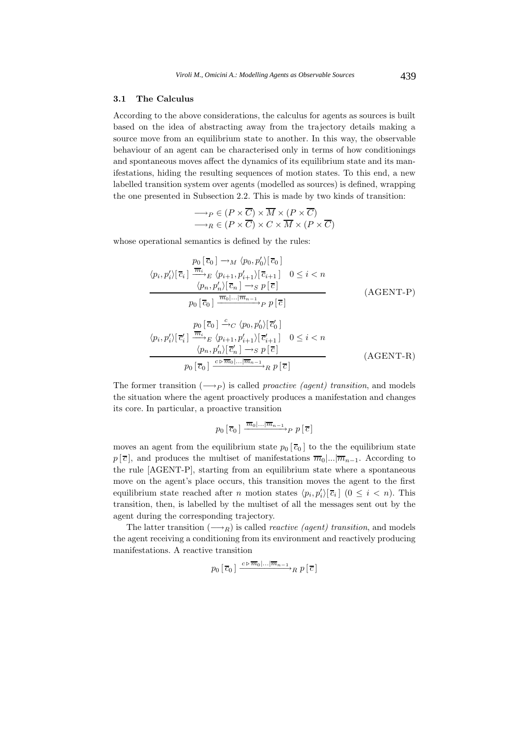### **3.1 The Calculus**

According to the above considerations, the calculus for agents as sources is built based on the idea of abstracting away from the trajectory details making a source move from an equilibrium state to another. In this way, the observable behaviour of an agent can be characterised only in terms of how conditionings and spontaneous moves affect the dynamics of its equilibrium state and its manifestations, hiding the resulting sequences of motion states. To this end, a new labelled transition system over agents (modelled as sources) is defined, wrapping the one presented in Subsection 2.2. This is made by two kinds of transition:

$$
\neg P \in (P \times \overline{C}) \times \overline{M} \times (P \times \overline{C})
$$
  

$$
\neg P \in (P \times \overline{C}) \times C \times \overline{M} \times (P \times \overline{C})
$$

whose operational semantics is defined by the rules:

$$
p_0 [\overline{c}_0] \rightarrow_M \langle p_0, p'_0 \rangle [\overline{c}_0]
$$
  
\n
$$
\langle p_i, p'_i \rangle [\overline{c}_i] \xrightarrow{\overline{m}_i} E \langle p_{i+1}, p'_{i+1} \rangle [\overline{c}_{i+1}] \quad 0 \le i < n
$$
  
\n
$$
\langle p_n, p'_n \rangle [\overline{c}_n] \rightarrow_S p [\overline{c}]
$$
  
\n
$$
p_0 [\overline{c}_0] \xrightarrow{\overline{m}_0 | \dots | \overline{m}_{n-1}} p [\overline{c}]
$$
  
\n
$$
\langle p_i, p'_i \rangle [\overline{c}'_i] \xrightarrow{\overline{m}_i} E \langle p_{i+1}, p'_{i+1} \rangle [\overline{c}'_{i+1}] \quad 0 \le i < n
$$
  
\n
$$
\langle p_n, p'_n \rangle [\overline{c}'_n] \rightarrow_S p [\overline{c}]
$$
  
\n
$$
p_0 [\overline{c}_0] \xrightarrow{c \succ \overline{m}_0 | \dots | \overline{m}_{n-1}} R p [\overline{c}]
$$
  
\n(AGENT-R)

The former transition  $(\longrightarrow_P)$  is called *proactive (agent) transition*, and models the situation where the agent proactively produces a manifestation and changes its core. In particular, a proactive transition

$$
p_0 \left[ \overline{c}_0 \right] \xrightarrow{\overline{m}_0 |...|\overline{m}_{n-1}} p \ p \left[ \overline{c} \right]
$$

moves an agent from the equilibrium state  $p_0 [\bar{c}_0 ]$  to the the equilibrium state  $p[\bar{c}]$ , and produces the multiset of manifestations  $\overline{m}_0|...|\overline{m}_{n-1}$ . According to the rule [AGENT-P], starting from an equilibrium state where a spontaneous move on the agent's place occurs, this transition moves the agent to the first equilibrium state reached after *n* motion states  $\langle p_i, p'_i \rangle [\overline{c}_i]$   $(0 \leq i \leq n)$ . This transition, then, is labelled by the multiset of all the messages sent out by the agent during the corresponding trajectory.

The latter transition  $(\longrightarrow_R)$  is called *reactive (agent) transition*, and models the agent receiving a conditioning from its environment and reactively producing manifestations. A reactive transition

$$
p_0\left[\overline{c}_0\right] \xrightarrow{c \triangleright \overline{m}_0 |...|\overline{m}_{n-1}} R p\left[\overline{c}\right]
$$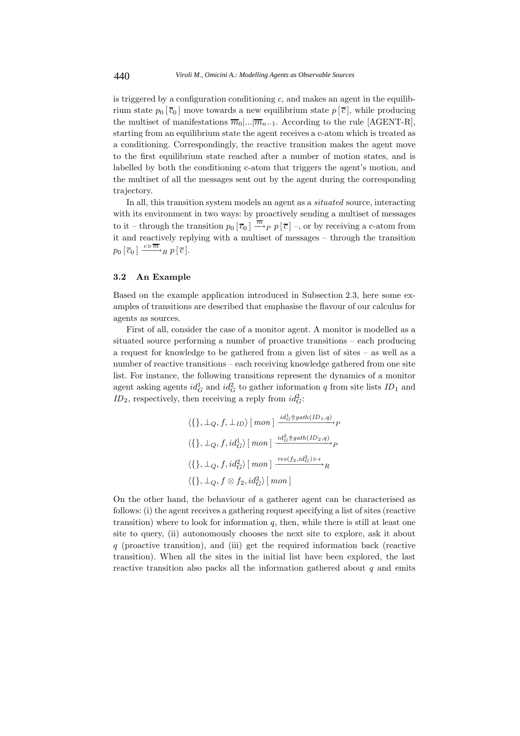is triggered by a configuration conditioning  $c$ , and makes an agent in the equilibrium state  $p_0 \overline{c}_0$  move towards a new equilibrium state  $p[\overline{c}]$ , while producing the multiset of manifestations  $\overline{m}_0|...|\overline{m}_{n-1}$ . According to the rule [AGENT-R], starting from an equilibrium state the agent receives a c-atom which is treated as a conditioning. Correspondingly, the reactive transition makes the agent move to the first equilibrium state reached after a number of motion states, and is labelled by both the conditioning c-atom that triggers the agent's motion, and the multiset of all the messages sent out by the agent during the corresponding trajectory.

In all, this transition system models an agent as a *situated* source, interacting with its environment in two ways: by proactively sending a multiset of messages to it – through the transition  $p_0 \left[ \overline{c}_0 \right] \stackrel{\overline{m}}{\longrightarrow} p \left[ \overline{c} \right]$  –, or by receiving a c-atom from it and reactively replying with a multiset of messages – through the transition  $p_0 \left[ \overline{c}_0 \right] \xrightarrow{c \triangleright \overline{m}} p \left[ \overline{c} \right].$ 

## **3.2 An Example**

Based on the example application introduced in Subsection 2.3, here some examples of transitions are described that emphasise the flavour of our calculus for agents as sources.

First of all, consider the case of a monitor agent. A monitor is modelled as a situated source performing a number of proactive transitions – each producing a request for knowledge to be gathered from a given list of sites – as well as a number of reactive transitions – each receiving knowledge gathered from one site list. For instance, the following transitions represent the dynamics of a monitor agent asking agents  $id_G^1$  and  $id_G^2$  to gather information q from site lists  $ID_1$  and  $ID_2$ , respectively, then receiving a reply from  $id_G^2$ :

$$
\langle \{\}, \perp_Q, f, \perp_{ID} \rangle \left[ \text{ mon } \right] \xrightarrow{id_G^1 \uparrow \text{path}(ID_1, q)} p
$$
  

$$
\langle \{\}, \perp_Q, f, id_G^1 \rangle \left[ \text{ mon } \right] \xrightarrow{id_G^2 \uparrow \text{path}(ID_2, q)} p
$$
  

$$
\langle \{\}, \perp_Q, f, id_G^2 \rangle \left[ \text{ mon } \right] \xrightarrow{res(f_2, id_G^2) \triangleright \epsilon} R
$$
  

$$
\langle \{\}, \perp_Q, f \otimes f_2, id_G^2 \rangle \left[ \text{ mon } \right]
$$

On the other hand, the behaviour of a gatherer agent can be characterised as follows: (i) the agent receives a gathering request specifying a list of sites (reactive transition) where to look for information  $q$ , then, while there is still at least one site to query, (ii) autonomously chooses the next site to explore, ask it about  $q$  (proactive transition), and (iii) get the required information back (reactive transition). When all the sites in the initial list have been explored, the last reactive transition also packs all the information gathered about  $q$  and emits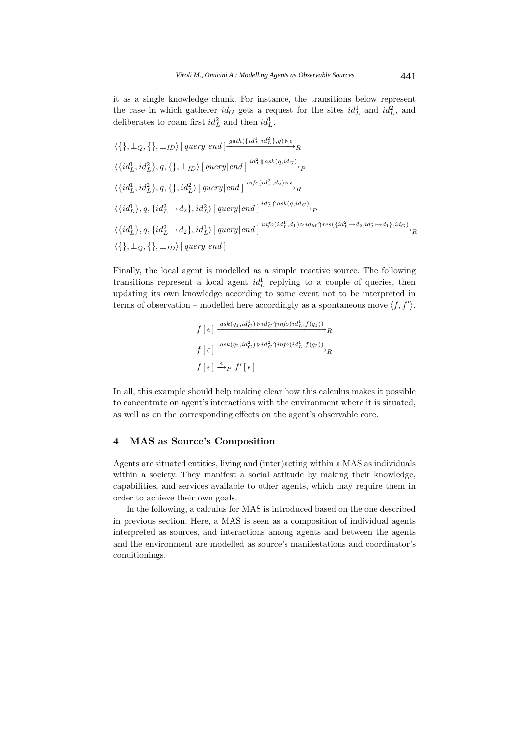it as a single knowledge chunk. For instance, the transitions below represent the case in which gatherer  $id_G$  gets a request for the sites  $id_L^1$  and  $id_L^2$ , and deliberates to roam first  $id_L^2$  and then  $id_L^1$ .

$$
\langle \{\}, \perp_Q, \{\}, \perp_{ID}\rangle \left[ \text{ query} | end \right] \xrightarrow{gath(\{id_L^1, id_L^2\}, q) \triangleright \epsilon} R
$$
\n
$$
\langle \{id_L^1, id_L^2\}, q, \{\}, \perp_{ID}\rangle \left[ \text{ query} | end \right] \xrightarrow{id_L^2 \text{ mask}(q, id_G)} P
$$
\n
$$
\langle \{id_L^1, id_L^2\}, q, \{\}, id_L^2\rangle \left[ \text{ query} | end \right] \xrightarrow{info(id_L^2, d_2) \triangleright \epsilon} R
$$
\n
$$
\langle \{id_L^1\}, q, \{id_L^2 \mapsto d_2\}, id_L^2\rangle \left[ \text{ query} | end \right] \xrightarrow{id_L^1 \text{mask}(q, id_G)} P
$$
\n
$$
\langle \{id_L^1\}, q, \{id_L^2 \mapsto d_2\}, id_L^1\rangle \left[ \text{ query} | end \right] \xrightarrow{info(id_L^1, d_1) \triangleright id_M \text{first}} \langle \{id_L^2 \mapsto d_2, id_L^1 \mapsto d_1\}, id_G \rangle R
$$
\n
$$
\langle \{\}, \perp_Q, \{\}, \perp_{ID}\rangle \left[ \text{ query} | end \right]
$$

Finally, the local agent is modelled as a simple reactive source. The following transitions represent a local agent  $id_L^1$  replying to a couple of queries, then updating its own knowledge according to some event not to be interpreted in terms of observation – modelled here accordingly as a spontaneous move  $\langle f, f' \rangle$ .

$$
f\left[\,\epsilon\,\right] \xrightarrow{ask(q_1,id_G^1) \triangleright id_G^1 \Uparrow \text{info}(id_L^1, f(q_1))} R
$$

$$
f\left[\,\epsilon\,\right] \xrightarrow{ask(q_2,id_G^2) \triangleright id_G^2 \Uparrow \text{info}(id_L^1, f(q_2))} R
$$

$$
f\left[\,\epsilon\,\right] \xrightarrow{\epsilon} P f'\left[\,\epsilon\,\right]
$$

In all, this example should help making clear how this calculus makes it possible to concentrate on agent's interactions with the environment where it is situated, as well as on the corresponding effects on the agent's observable core.

## **4 MAS as Source's Composition**

Agents are situated entities, living and (inter)acting within a MAS as individuals within a society. They manifest a social attitude by making their knowledge, capabilities, and services available to other agents, which may require them in order to achieve their own goals.

In the following, a calculus for MAS is introduced based on the one described in previous section. Here, a MAS is seen as a composition of individual agents interpreted as sources, and interactions among agents and between the agents and the environment are modelled as source's manifestations and coordinator's conditionings.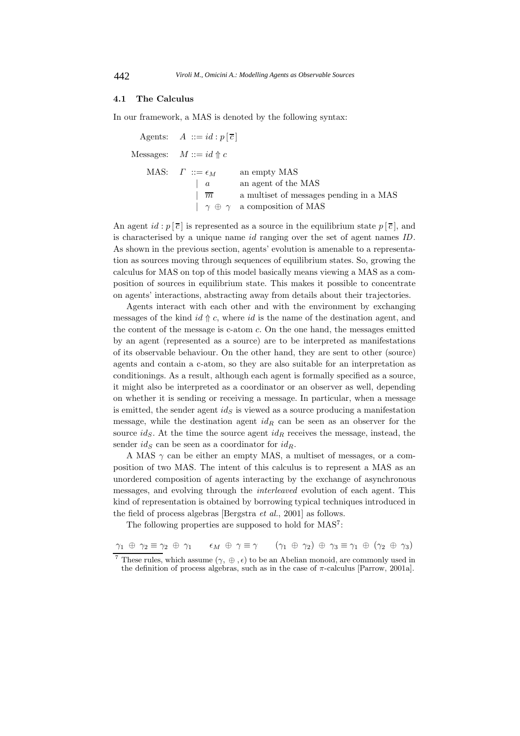#### **4.1 The Calculus**

In our framework, a MAS is denoted by the following syntax:

Agents:  $A ::= id : p[\overline{c}]$ Messages:  $M ::= id \nuparrow c$ MAS:  $\Gamma$  ::=  $\epsilon_M$  an empty MAS | a an agent of the MAS  $\sqrt{m}$  a multiset of messages pending in a MAS  $|\gamma \oplus \gamma|$  a composition of MAS

An agent  $id : p[\overline{c}]$  is represented as a source in the equilibrium state  $p[\overline{c}]$ , and is characterised by a unique name id ranging over the set of agent names *ID*. As shown in the previous section, agents' evolution is amenable to a representation as sources moving through sequences of equilibrium states. So, growing the calculus for MAS on top of this model basically means viewing a MAS as a composition of sources in equilibrium state. This makes it possible to concentrate on agents' interactions, abstracting away from details about their trajectories.

Agents interact with each other and with the environment by exchanging messages of the kind  $id \nightharpoonup c$ , where id is the name of the destination agent, and the content of the message is c-atom c. On the one hand, the messages emitted by an agent (represented as a source) are to be interpreted as manifestations of its observable behaviour. On the other hand, they are sent to other (source) agents and contain a c-atom, so they are also suitable for an interpretation as conditionings. As a result, although each agent is formally specified as a source, it might also be interpreted as a coordinator or an observer as well, depending on whether it is sending or receiving a message. In particular, when a message is emitted, the sender agent  $id_S$  is viewed as a source producing a manifestation message, while the destination agent  $id_R$  can be seen as an observer for the source  $id_S$ . At the time the source agent  $id_R$  receives the message, instead, the sender  $id_S$  can be seen as a coordinator for  $id_R$ .

A MAS  $\gamma$  can be either an empty MAS, a multiset of messages, or a composition of two MAS. The intent of this calculus is to represent a MAS as an unordered composition of agents interacting by the exchange of asynchronous messages, and evolving through the *interleaved* evolution of each agent. This kind of representation is obtained by borrowing typical techniques introduced in the field of process algebras [Bergstra *et al.*, 2001] as follows.

The following properties are supposed to hold for  $MAS^7$ :

 $\gamma_1 \oplus \gamma_2 \equiv \gamma_2 \oplus \gamma_1$   $\epsilon_M \oplus \gamma \equiv \gamma$   $(\gamma_1 \oplus \gamma_2) \oplus \gamma_3 \equiv \gamma_1 \oplus (\gamma_2 \oplus \gamma_3)$ 

<sup>&</sup>lt;sup>7</sup> These rules, which assume  $(\gamma, \oplus, \epsilon)$  to be an Abelian monoid, are commonly used in the definition of process algebras, such as in the case of  $\pi$ -calculus [Parrow, 2001a].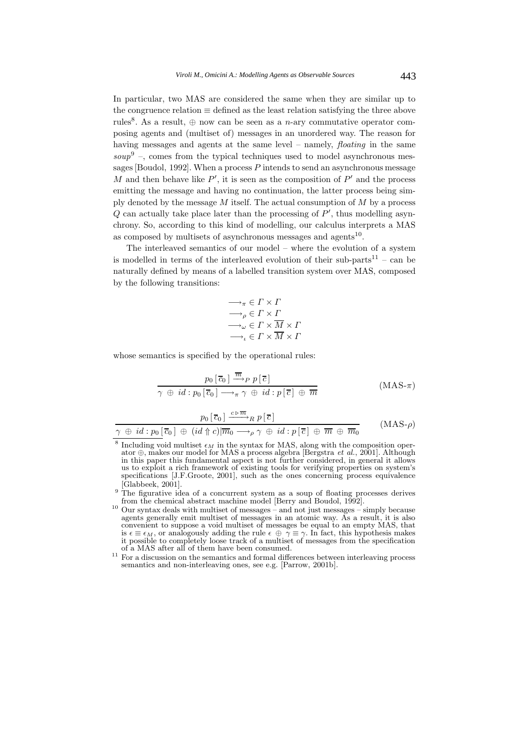In particular, two MAS are considered the same when they are similar up to the congruence relation  $\equiv$  defined as the least relation satisfying the three above rules<sup>8</sup>. As a result,  $\oplus$  now can be seen as a *n*-ary commutative operator composing agents and (multiset of) messages in an unordered way. The reason for having messages and agents at the same level – namely, *floating* in the same *soup*<sup>9</sup> –, comes from the typical techniques used to model asynchronous messages [Boudol, 1992]. When a process  $P$  intends to send an asynchronous message M and then behave like  $P'$ , it is seen as the composition of  $P'$  and the process emitting the message and having no continuation, the latter process being simply denoted by the message  $M$  itself. The actual consumption of  $M$  by a process  $Q$  can actually take place later than the processing of  $P'$ , thus modelling asynchrony. So, according to this kind of modelling, our calculus interprets a MAS as composed by multisets of asynchronous messages and agents $10$ .

The interleaved semantics of our model – where the evolution of a system is modelled in terms of the interleaved evolution of their sub-parts<sup>11</sup> – can be naturally defined by means of a labelled transition system over MAS, composed by the following transitions:

$$
\begin{aligned}\n &\longrightarrow_{\pi} \in \varGamma \times \varGamma \\
&\longrightarrow_{\rho} \in \varGamma \times \varGamma \\
&\longrightarrow_{\omega} \in \varGamma \times \overline{M} \times \varGamma \\
&\longrightarrow_{\iota} \in \varGamma \times \overline{M} \times \varGamma\n\end{aligned}
$$

whose semantics is specified by the operational rules:

$$
\frac{p_0 [\overline{c}_0] \xrightarrow{\overline{m}} p [\overline{c}]}{\gamma \oplus id : p_0 [\overline{c}_0] \longrightarrow_{\pi} \gamma \oplus id : p [\overline{c}] \oplus \overline{m}}
$$
 (MAS- $\pi$ )

$$
\frac{p_0 [\overline{c}_0] \xrightarrow{c \triangleright \overline{m}} R p [\overline{c}]}{\gamma \oplus id : p_0 [\overline{c}_0] \oplus (id \Uparrow c) | \overline{m}_0 \longrightarrow_{\rho} \gamma \oplus id : p [\overline{c}] \oplus \overline{m} \oplus \overline{m}_0} \qquad (\text{MAS-}\rho)
$$

agents generally emit multiset of messages in an atomic way. As a result, it is also convenient to suppose a void multiset of messages be equal to an empty MAS, that is  $\epsilon \equiv \epsilon_M$ , or analogously adding the rule  $\epsilon \oplus \gamma \equiv \gamma$ . In fact, this hypothesis makes it possible to completely loose track of a multiset of messages from the specification of a MAS after all of them have been consumed.

<sup>&</sup>lt;sup>8</sup> Including void multiset  $\epsilon_M$  in the syntax for MAS, along with the composition operator ⊕, makes our model for MAS a process algebra [Bergstra *et al.*, 2001]. Although in this paper this fundamental aspect is not further considered, in general it allows us to exploit a rich framework of existing tools for verifying properties on system's specifications [J.F.Groote, 2001], such as the ones concerning process equivalence [Glabbeek, 2001].

<sup>&</sup>lt;sup>9</sup> The figurative idea of a concurrent system as a soup of floating processes derives from the chemical abstract machine model [Berry and Boudol, 1992].<br><sup>10</sup> Our syntax deals with multiset of messages – and not just messages – simply because

<sup>&</sup>lt;sup>11</sup> For a discussion on the semantics and formal differences between interleaving process semantics and non-interleaving ones, see e.g. [Parrow, 2001b].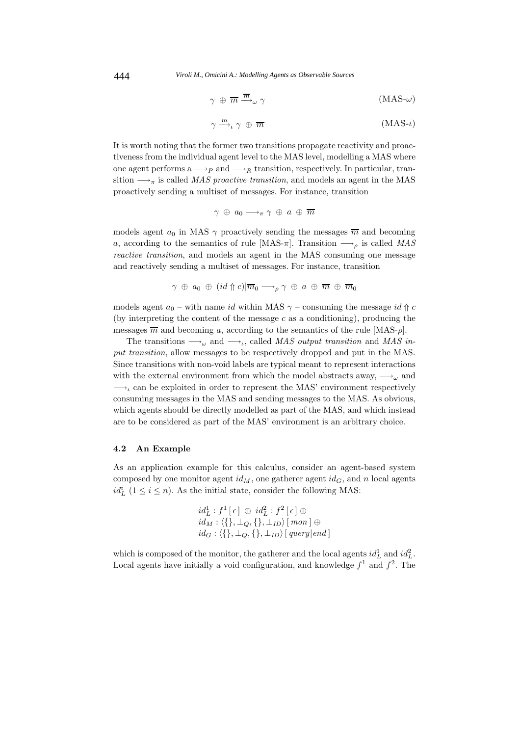444 *Viroli M., Omicini A.: Modelling Agents as Observable Sources*

$$
\gamma \oplus \overline{m} \xrightarrow{\overline{m}}_{\omega} \gamma \tag{MAS- $\omega$ )
$$

$$
\gamma \stackrel{\overline{m}}{\longrightarrow}_{\iota} \gamma \oplus \overline{m} \tag{MAS-u}
$$

It is worth noting that the former two transitions propagate reactivity and proactiveness from the individual agent level to the MAS level, modelling a MAS where one agent performs a  $\longrightarrow$  p and  $\longrightarrow$ R transition, respectively. In particular, transition  $\rightarrow_{\pi}$  is called *MAS proactive transition*, and models an agent in the MAS proactively sending a multiset of messages. For instance, transition

$$
\gamma \,\oplus\, a_0 \longrightarrow_{\pi} \gamma \,\oplus\, a\,\oplus\, \overline{m}
$$

models agent  $a_0$  in MAS  $\gamma$  proactively sending the messages  $\overline{m}$  and becoming a, according to the semantics of rule [MAS- $\pi$ ]. Transition  $\longrightarrow_{\rho}$  is called *MAS reactive transition*, and models an agent in the MAS consuming one message and reactively sending a multiset of messages. For instance, transition

$$
\gamma \,\oplus\, a_0 \,\oplus\, (id \Uparrow c)|\overline{m}_0 \longrightarrow_{\rho} \gamma \,\oplus\, a \,\oplus\, \overline{m} \,\oplus\, \overline{m}_0
$$

models agent  $a_0$  – with name id within MAS  $\gamma$  – consuming the message id  $\Uparrow c$ (by interpreting the content of the message  $c$  as a conditioning), producing the messages  $\overline{m}$  and becoming a, according to the semantics of the rule [MAS- $\rho$ ].

The transitions  $\longrightarrow_{\omega}$  and  $\longrightarrow_{\iota}$ , called *MAS output transition* and *MAS input transition*, allow messages to be respectively dropped and put in the MAS. Since transitions with non-void labels are typical meant to represent interactions with the external environment from which the model abstracts away,  $\longrightarrow_{\omega}$  and  $\rightarrow$ <sub>ι</sub> can be exploited in order to represent the MAS' environment respectively consuming messages in the MAS and sending messages to the MAS. As obvious, which agents should be directly modelled as part of the MAS, and which instead are to be considered as part of the MAS' environment is an arbitrary choice.

## **4.2 An Example**

As an application example for this calculus, consider an agent-based system composed by one monitor agent  $id_M$ , one gatherer agent  $id_G$ , and n local agents  $id_L^i$   $(1 \leq i \leq n)$ . As the initial state, consider the following MAS:

$$
id_L^1 : f^1[\epsilon] \oplus id_L^2 : f^2[\epsilon] \oplus
$$
  

$$
id_M : \langle \{\}, \bot_Q, \{\}, \bot_{ID}\rangle [ \text{ mon } ] \oplus
$$
  

$$
id_G : \langle \{\}, \bot_Q, \{\}, \bot_{ID}\rangle [ \text{ query} | \text{end } ]
$$

which is composed of the monitor, the gatherer and the local agents  $id_L^1$  and  $id_L^2$ . Local agents have initially a void configuration, and knowledge  $f^1$  and  $f^2$ . The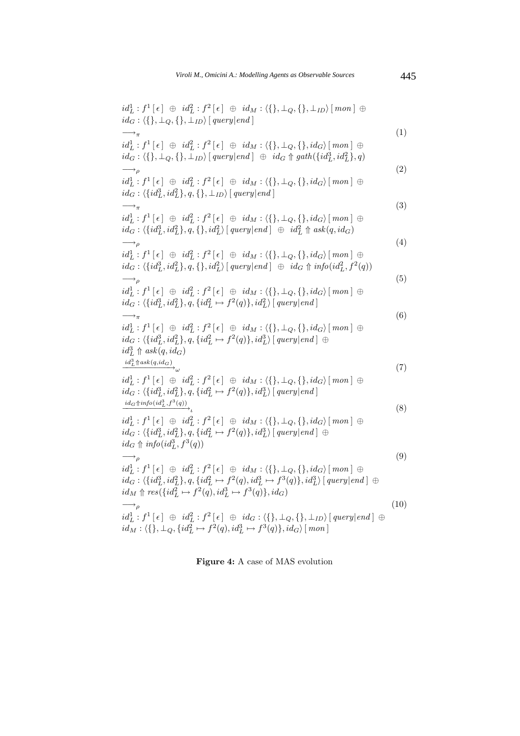$id_L^1: f^1[\epsilon] \oplus id_L^2: f^2[\epsilon] \oplus id_M: \langle \{\}, \perp_Q, \{\}, \perp_{ID}\rangle \, [mon] \oplus$  $id_G$  :  $\langle \{\}, \perp_Q, \{\}, \perp_{ID}\rangle$  [ *query* | *end* ]  $\longrightarrow_{\pi}$  (1)  $id_L^1: f^1[\epsilon] \oplus id_L^2: f^2[\epsilon] \oplus id_M: \langle \{\}, \perp_Q, \{\}, id_G\rangle \, [ \, mon \,] \oplus$  $id_G: \langle \{\}, \perp_Q, \{\}, \perp_{ID}\rangle \, [\; query | end \; ] \; \oplus \; id_G \uparrow gath(\{id_L^3, id_L^2\}, q)$  $\longrightarrow_{\rho}$  (2)  $id_L^1 : f^1[\epsilon] \oplus id_L^2 : f^2[\epsilon] \oplus id_M : \langle \{\}, \perp_Q, \{\}, id_G \rangle \, [ \, mon \,] \oplus$  $id_G: \langle \{id_L^3, id_L^2\}, q, \{\}, \perp_{ID}\rangle \, [ \, query | end \, ]$  $\longrightarrow_{\pi}$  (3)  $id_L^1: f^1[\epsilon] \oplus id_L^2: f^2[\epsilon] \oplus id_M: \langle \{\}, \perp_Q, \{\}, id_G\rangle \, [ \, mon \,] \oplus$  $id_G: \langle \{id_L^3, id_L^2\}, q, \{\}, id_L^2\rangle \, [\, query| end] \; \oplus \; id_L^2 \uparrow \; ask(q, id_G)$  $\longrightarrow_{\rho}$  (4)  $id_L^1: f^1[\epsilon] \oplus id_L^2: f^2[\epsilon] \oplus id_M: \langle \{\}, \perp_Q, \{\}, id_G\rangle \, [ \, mon \,] \oplus$  $id_G: \langle \{id_L^3, id_L^2\}, q, \{\}, id_L^2 \rangle \, [ \, query | end \, ] \; \oplus \; id_G \uparrow \; info(id_L^2, f^2(q))$  $\longrightarrow_{\rho}$  (5)  $id_L^1: f^1[\epsilon] \oplus id_L^2: f^2[\epsilon] \oplus id_M: \langle \{\}, \perp_Q, \{\}, id_G\rangle \, [~mon] \oplus$  $id_G: \langle \{id_L^3, id_L^2\}, q, \{id_L^2 \mapsto f^2(q)\}, id_L^2 \rangle \, [ \, query | end \, ]$  $\longrightarrow_{\pi}$  (6)  $id_L^1: f^1[\epsilon] \oplus id_L^2: f^2[\epsilon] \oplus id_M: \langle \{\}, \perp_Q, \{\}, id_G\rangle \, [ \, mon \,] \oplus$  $id_G: \langle \{id_L^3, id_L^2\}, q, \{id_L^2 \mapsto f^2(q)\}, id_L^3 \rangle \, [ \, query | end \, ] \oplus$  $id_L^3 \Uparrow ask(q, id_G)$  $\stackrel{i d_L^3 \uparrow \text{a} \text{sk}(q, id_G)}{\sim}$  (7)  $id_L^1: f^1[\epsilon] \oplus id_L^2: f^2[\epsilon] \oplus id_M: \langle \{\}, \perp_Q, \{\}, id_G\rangle \, [~mon] \oplus$  $id_G: \langle \{id_L^3, id_L^2\}, q, \{id_L^2 \mapsto f^2(q)\}, id_L^3 \rangle \, [ \, query | end \, ]$  $\frac{id_G \uparrow \text{info}(id_L^3, f^3(q))}{\cdot}$ <sub> $\tag{8}$ </sub>  $id_L^1: f^1[\epsilon] \oplus id_L^2: f^2[\epsilon] \oplus id_M: \langle \{\}, \perp_Q, \{\}, id_G\rangle \, [ \, mon \,] \oplus$  $id_G: \langle \{id_L^3, id_L^2\}, q, \{id_L^2 \mapsto f^2(q)\}, id_L^3 \rangle \, [ \, query | end \, ] \oplus$  $id_G \Uparrow info(id_L^3, f^3(q))$  $\longrightarrow_{\rho}$  (9)  $id_L^1: f^1[\epsilon] \oplus id_L^2: f^2[\epsilon] \oplus id_M: \langle \{\}, \perp_Q, \{\}, id_G\rangle \, [~mon] \oplus$  $id_G: \langle \{id_L^3, id_L^2\}, q, \{id_L^2 \mapsto f^2(q), id_L^3 \mapsto f^3(q)\}, id_L^3 \rangle \, [ \, query | end \, ] \oplus$  $id_M \Uparrow res(\lbrace id_L^2 \mapsto f^2(q), id_L^3 \mapsto f^3(q) \rbrace, id_G)$  $\longrightarrow_{\rho}$  (10)  $id_L^1: f^1[\epsilon] \oplus id_L^2: f^2[\epsilon] \oplus id_G: \langle \{\}, \perp_Q, \{\}, \perp_{ID}\rangle [\text{query}|\text{end}]\oplus$  $id_M: \langle \{\}, \perp_Q, \{id_L^2 \mapsto f^2(q), id_L^3 \mapsto f^3(q)\}, id_G \rangle \, [$  mon ]

**Figure 4:** A case of MAS evolution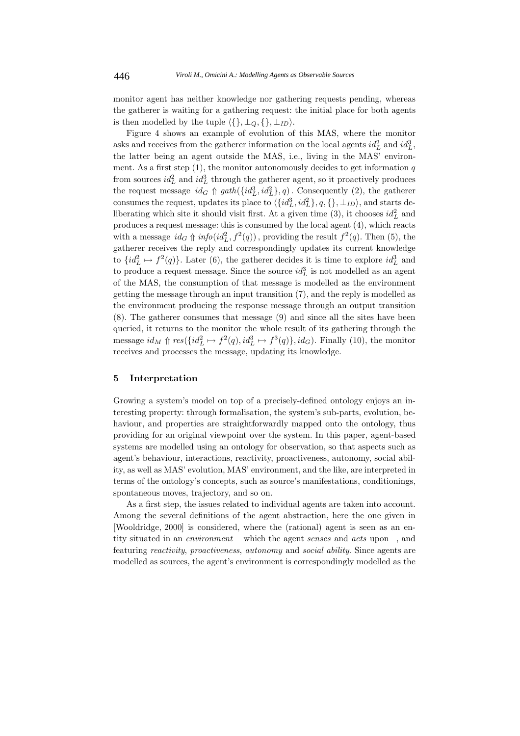monitor agent has neither knowledge nor gathering requests pending, whereas the gatherer is waiting for a gathering request: the initial place for both agents is then modelled by the tuple  $\langle \{ \}, \perp_O, \{ \}, \perp_{ID} \rangle$ .

Figure 4 shows an example of evolution of this MAS, where the monitor asks and receives from the gatherer information on the local agents  $id_L^2$  and  $id_L^3$ , the latter being an agent outside the MAS, i.e., living in the MAS' environment. As a first step  $(1)$ , the monitor autonomously decides to get information q from sources  $id_L^2$  and  $id_L^3$  through the gatherer agent, so it proactively produces the request message  $id_G \nightharpoonup gath(\{id_L^3, id_L^2\}, q)$ . Consequently (2), the gatherer consumes the request, updates its place to  $\langle \{id_L^3, id_L^2\}, q, \{\}, \perp_{ID}\rangle$ , and starts deliberating which site it should visit first. At a given time (3), it chooses  $id_L^2$  and produces a request message: this is consumed by the local agent (4), which reacts with a message  $id_G \nightharpoonup info(id_L^2, f^2(q))$ , providing the result  $f^2(q)$ . Then (5), the gatherer receives the reply and correspondingly updates its current knowledge to  $\{id_L^2 \mapsto f^2(q)\}\.$  Later (6), the gatherer decides it is time to explore  $id_L^3$  and to produce a request message. Since the source  $id_L^3$  is not modelled as an agent of the MAS, the consumption of that message is modelled as the environment getting the message through an input transition (7), and the reply is modelled as the environment producing the response message through an output transition (8). The gatherer consumes that message (9) and since all the sites have been queried, it returns to the monitor the whole result of its gathering through the message  $id_M \nightharpoonup res({id_L^2 \mapsto f^2(q), id_L^3 \mapsto f^3(q)}, id_G)$ . Finally (10), the monitor receives and processes the message, updating its knowledge.

# **5 Interpretation**

Growing a system's model on top of a precisely-defined ontology enjoys an interesting property: through formalisation, the system's sub-parts, evolution, behaviour, and properties are straightforwardly mapped onto the ontology, thus providing for an original viewpoint over the system. In this paper, agent-based systems are modelled using an ontology for observation, so that aspects such as agent's behaviour, interactions, reactivity, proactiveness, autonomy, social ability, as well as MAS' evolution, MAS' environment, and the like, are interpreted in terms of the ontology's concepts, such as source's manifestations, conditionings, spontaneous moves, trajectory, and so on.

As a first step, the issues related to individual agents are taken into account. Among the several definitions of the agent abstraction, here the one given in [Wooldridge, 2000] is considered, where the (rational) agent is seen as an entity situated in an *environment* – which the agent *senses* and *acts* upon –, and featuring *reactivity*, *proactiveness*, *autonomy* and *social ability*. Since agents are modelled as sources, the agent's environment is correspondingly modelled as the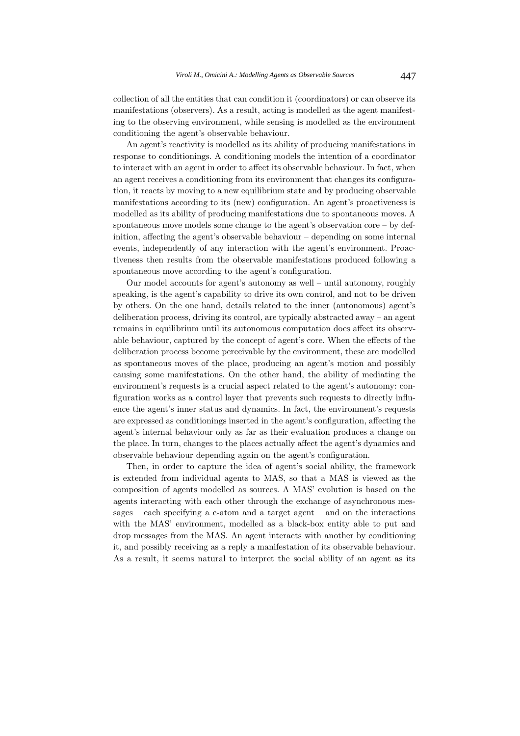collection of all the entities that can condition it (coordinators) or can observe its manifestations (observers). As a result, acting is modelled as the agent manifesting to the observing environment, while sensing is modelled as the environment conditioning the agent's observable behaviour.

An agent's reactivity is modelled as its ability of producing manifestations in response to conditionings. A conditioning models the intention of a coordinator to interact with an agent in order to affect its observable behaviour. In fact, when an agent receives a conditioning from its environment that changes its configuration, it reacts by moving to a new equilibrium state and by producing observable manifestations according to its (new) configuration. An agent's proactiveness is modelled as its ability of producing manifestations due to spontaneous moves. A spontaneous move models some change to the agent's observation core – by definition, affecting the agent's observable behaviour – depending on some internal events, independently of any interaction with the agent's environment. Proactiveness then results from the observable manifestations produced following a spontaneous move according to the agent's configuration.

Our model accounts for agent's autonomy as well – until autonomy, roughly speaking, is the agent's capability to drive its own control, and not to be driven by others. On the one hand, details related to the inner (autonomous) agent's deliberation process, driving its control, are typically abstracted away – an agent remains in equilibrium until its autonomous computation does affect its observable behaviour, captured by the concept of agent's core. When the effects of the deliberation process become perceivable by the environment, these are modelled as spontaneous moves of the place, producing an agent's motion and possibly causing some manifestations. On the other hand, the ability of mediating the environment's requests is a crucial aspect related to the agent's autonomy: configuration works as a control layer that prevents such requests to directly influence the agent's inner status and dynamics. In fact, the environment's requests are expressed as conditionings inserted in the agent's configuration, affecting the agent's internal behaviour only as far as their evaluation produces a change on the place. In turn, changes to the places actually affect the agent's dynamics and observable behaviour depending again on the agent's configuration.

Then, in order to capture the idea of agent's social ability, the framework is extended from individual agents to MAS, so that a MAS is viewed as the composition of agents modelled as sources. A MAS' evolution is based on the agents interacting with each other through the exchange of asynchronous messages – each specifying a c-atom and a target agent – and on the interactions with the MAS' environment, modelled as a black-box entity able to put and drop messages from the MAS. An agent interacts with another by conditioning it, and possibly receiving as a reply a manifestation of its observable behaviour. As a result, it seems natural to interpret the social ability of an agent as its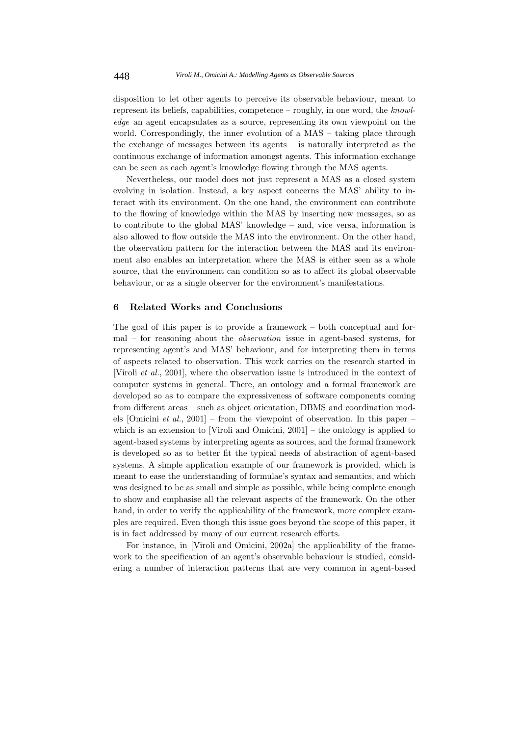disposition to let other agents to perceive its observable behaviour, meant to represent its beliefs, capabilities, competence – roughly, in one word, the *knowledge* an agent encapsulates as a source, representing its own viewpoint on the world. Correspondingly, the inner evolution of a MAS – taking place through the exchange of messages between its agents – is naturally interpreted as the continuous exchange of information amongst agents. This information exchange can be seen as each agent's knowledge flowing through the MAS agents.

Nevertheless, our model does not just represent a MAS as a closed system evolving in isolation. Instead, a key aspect concerns the MAS' ability to interact with its environment. On the one hand, the environment can contribute to the flowing of knowledge within the MAS by inserting new messages, so as to contribute to the global MAS' knowledge – and, vice versa, information is also allowed to flow outside the MAS into the environment. On the other hand, the observation pattern for the interaction between the MAS and its environment also enables an interpretation where the MAS is either seen as a whole source, that the environment can condition so as to affect its global observable behaviour, or as a single observer for the environment's manifestations.

# **6 Related Works and Conclusions**

The goal of this paper is to provide a framework – both conceptual and formal – for reasoning about the *observation* issue in agent-based systems, for representing agent's and MAS' behaviour, and for interpreting them in terms of aspects related to observation. This work carries on the research started in [Viroli *et al.*, 2001], where the observation issue is introduced in the context of computer systems in general. There, an ontology and a formal framework are developed so as to compare the expressiveness of software components coming from different areas – such as object orientation, DBMS and coordination models [Omicini *et al.*, 2001] – from the viewpoint of observation. In this paper – which is an extension to [Viroli and Omicini, 2001] – the ontology is applied to agent-based systems by interpreting agents as sources, and the formal framework is developed so as to better fit the typical needs of abstraction of agent-based systems. A simple application example of our framework is provided, which is meant to ease the understanding of formulae's syntax and semantics, and which was designed to be as small and simple as possible, while being complete enough to show and emphasise all the relevant aspects of the framework. On the other hand, in order to verify the applicability of the framework, more complex examples are required. Even though this issue goes beyond the scope of this paper, it is in fact addressed by many of our current research efforts.

For instance, in [Viroli and Omicini, 2002a] the applicability of the framework to the specification of an agent's observable behaviour is studied, considering a number of interaction patterns that are very common in agent-based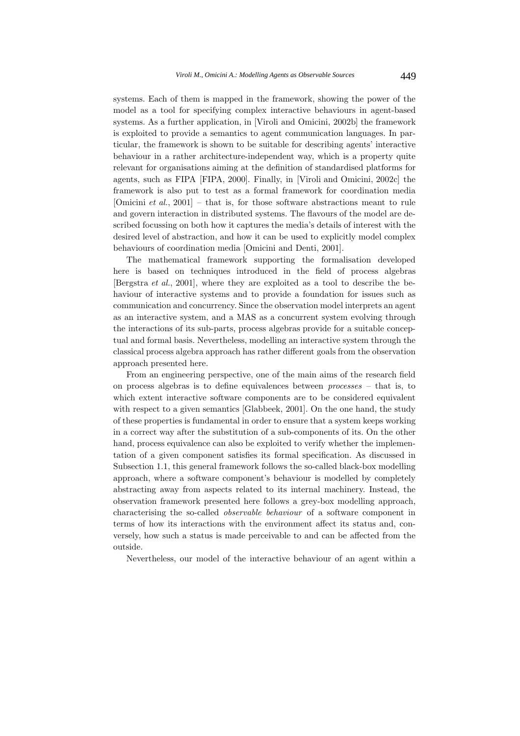systems. Each of them is mapped in the framework, showing the power of the model as a tool for specifying complex interactive behaviours in agent-based systems. As a further application, in [Viroli and Omicini, 2002b] the framework is exploited to provide a semantics to agent communication languages. In particular, the framework is shown to be suitable for describing agents' interactive behaviour in a rather architecture-independent way, which is a property quite relevant for organisations aiming at the definition of standardised platforms for agents, such as FIPA [FIPA, 2000]. Finally, in [Viroli and Omicini, 2002c] the framework is also put to test as a formal framework for coordination media [Omicini *et al.*, 2001] – that is, for those software abstractions meant to rule and govern interaction in distributed systems. The flavours of the model are described focussing on both how it captures the media's details of interest with the desired level of abstraction, and how it can be used to explicitly model complex behaviours of coordination media [Omicini and Denti, 2001].

The mathematical framework supporting the formalisation developed here is based on techniques introduced in the field of process algebras [Bergstra *et al.*, 2001], where they are exploited as a tool to describe the behaviour of interactive systems and to provide a foundation for issues such as communication and concurrency. Since the observation model interprets an agent as an interactive system, and a MAS as a concurrent system evolving through the interactions of its sub-parts, process algebras provide for a suitable conceptual and formal basis. Nevertheless, modelling an interactive system through the classical process algebra approach has rather different goals from the observation approach presented here.

From an engineering perspective, one of the main aims of the research field on process algebras is to define equivalences between *processes* – that is, to which extent interactive software components are to be considered equivalent with respect to a given semantics [Glabbeek, 2001]. On the one hand, the study of these properties is fundamental in order to ensure that a system keeps working in a correct way after the substitution of a sub-components of its. On the other hand, process equivalence can also be exploited to verify whether the implementation of a given component satisfies its formal specification. As discussed in Subsection 1.1, this general framework follows the so-called black-box modelling approach, where a software component's behaviour is modelled by completely abstracting away from aspects related to its internal machinery. Instead, the observation framework presented here follows a grey-box modelling approach, characterising the so-called *observable behaviour* of a software component in terms of how its interactions with the environment affect its status and, conversely, how such a status is made perceivable to and can be affected from the outside.

Nevertheless, our model of the interactive behaviour of an agent within a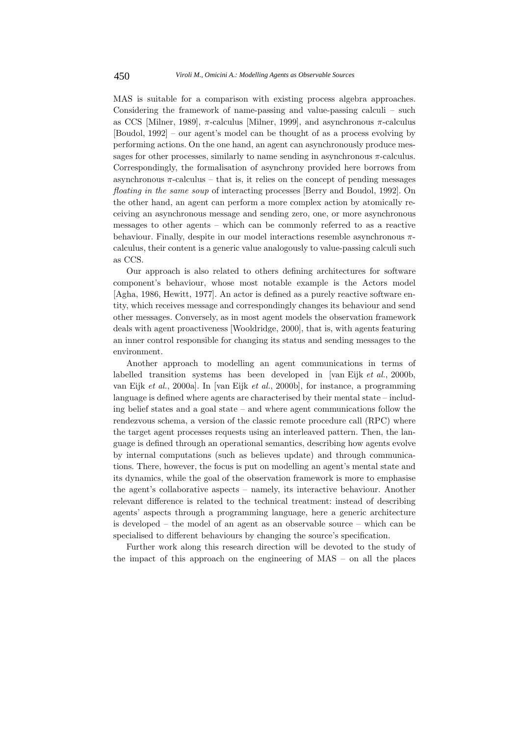MAS is suitable for a comparison with existing process algebra approaches. Considering the framework of name-passing and value-passing calculi – such as CCS [Milner, 1989],  $\pi$ -calculus [Milner, 1999], and asynchronous  $\pi$ -calculus [Boudol, 1992] – our agent's model can be thought of as a process evolving by performing actions. On the one hand, an agent can asynchronously produce messages for other processes, similarly to name sending in asynchronous  $\pi$ -calculus. Correspondingly, the formalisation of asynchrony provided here borrows from asynchronous  $\pi$ -calculus – that is, it relies on the concept of pending messages *floating in the same soup* of interacting processes [Berry and Boudol, 1992]. On the other hand, an agent can perform a more complex action by atomically receiving an asynchronous message and sending zero, one, or more asynchronous messages to other agents – which can be commonly referred to as a reactive behaviour. Finally, despite in our model interactions resemble asynchronous  $\pi$ calculus, their content is a generic value analogously to value-passing calculi such as CCS.

Our approach is also related to others defining architectures for software component's behaviour, whose most notable example is the Actors model [Agha, 1986, Hewitt, 1977]. An actor is defined as a purely reactive software entity, which receives message and correspondingly changes its behaviour and send other messages. Conversely, as in most agent models the observation framework deals with agent proactiveness [Wooldridge, 2000], that is, with agents featuring an inner control responsible for changing its status and sending messages to the environment.

Another approach to modelling an agent communications in terms of labelled transition systems has been developed in [van Eijk *et al.*, 2000b, van Eijk *et al.*, 2000a]. In [van Eijk *et al.*, 2000b], for instance, a programming language is defined where agents are characterised by their mental state – including belief states and a goal state – and where agent communications follow the rendezvous schema, a version of the classic remote procedure call (RPC) where the target agent processes requests using an interleaved pattern. Then, the language is defined through an operational semantics, describing how agents evolve by internal computations (such as believes update) and through communications. There, however, the focus is put on modelling an agent's mental state and its dynamics, while the goal of the observation framework is more to emphasise the agent's collaborative aspects – namely, its interactive behaviour. Another relevant difference is related to the technical treatment: instead of describing agents' aspects through a programming language, here a generic architecture is developed – the model of an agent as an observable source – which can be specialised to different behaviours by changing the source's specification.

Further work along this research direction will be devoted to the study of the impact of this approach on the engineering of MAS – on all the places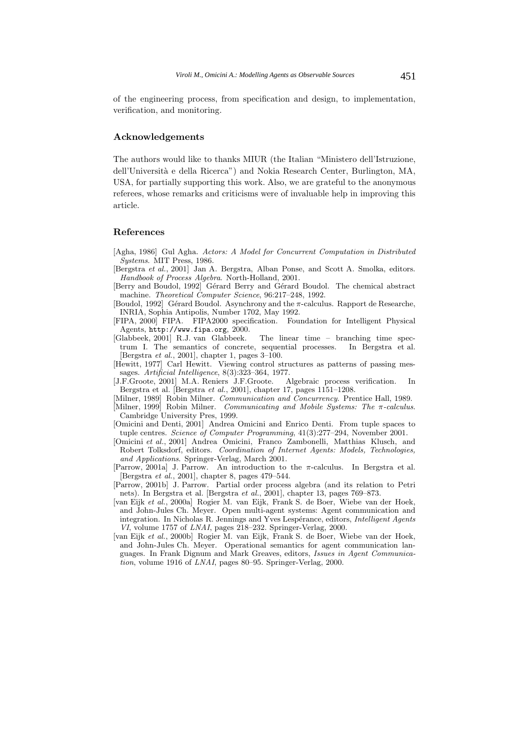of the engineering process, from specification and design, to implementation, verification, and monitoring.

### **Acknowledgements**

The authors would like to thanks MIUR (the Italian "Ministero dell'Istruzione, dell'Università e della Ricerca") and Nokia Research Center, Burlington, MA, USA, for partially supporting this work. Also, we are grateful to the anonymous referees, whose remarks and criticisms were of invaluable help in improving this article.

## **References**

- [Agha, 1986] Gul Agha. *Actors: A Model for Concurrent Computation in Distributed Systems*. MIT Press, 1986.
- [Bergstra *et al.*, 2001] Jan A. Bergstra, Alban Ponse, and Scott A. Smolka, editors. *Handbook of Process Algebra*. North-Holland, 2001.
- [Berry and Boudol, 1992] Gérard Berry and Gérard Boudol. The chemical abstract machine. *Theoretical Computer Science*, 96:217–248, 1992.
- [Boudol, 1992] Gérard Boudol. Asynchrony and the  $\pi$ -calculus. Rapport de Researche, INRIA, Sophia Antipolis, Number 1702, May 1992.
- [FIPA, 2000] FIPA. FIPA2000 specification. Foundation for Intelligent Physical Agents, http://www.fipa.org, 2000.<br>[Glabbeek, 2001] R.J. van Glabbeek.
- The linear time branching time spectrum I. The semantics of concrete, sequential processes. In Bergstra et al. [Bergstra *et al.*, 2001], chapter 1, pages 3–100.
- [Hewitt, 1977] Carl Hewitt. Viewing control structures as patterns of passing messages. *Artificial Intelligence*, 8(3):323–364, 1977.
- [J.F.Groote, 2001] M.A. Reniers J.F.Groote. Algebraic process verification. In Bergstra et al. [Bergstra *et al.*, 2001], chapter 17, pages 1151–1208.
- [Milner, 1989] Robin Milner. *Communication and Concurrency*. Prentice Hall, 1989.
- [Milner, 1999] Robin Milner. *Communicating and Mobile Systems: The* π*-calculus*. Cambridge University Pres, 1999.
- [Omicini and Denti, 2001] Andrea Omicini and Enrico Denti. From tuple spaces to tuple centres. *Science of Computer Programming*, 41(3):277–294, November 2001.
- [Omicini *et al.*, 2001] Andrea Omicini, Franco Zambonelli, Matthias Klusch, and Robert Tolksdorf, editors. *Coordination of Internet Agents: Models, Technologies, and Applications*. Springer-Verlag, March 2001.
- [Parrow, 2001a] J. Parrow. An introduction to the π-calculus. In Bergstra et al. [Bergstra *et al.*, 2001], chapter 8, pages 479–544.
- [Parrow, 2001b] J. Parrow. Partial order process algebra (and its relation to Petri nets). In Bergstra et al. [Bergstra *et al.*, 2001], chapter 13, pages 769–873.
- [van Eijk *et al.*, 2000a] Rogier M. van Eijk, Frank S. de Boer, Wiebe van der Hoek, and John-Jules Ch. Meyer. Open multi-agent systems: Agent communication and integration. In Nicholas R. Jennings and Yves Lesp´erance, editors, *Intelligent Agents VI*, volume 1757 of *LNAI*, pages 218–232. Springer-Verlag, 2000.
- [van Eijk *et al.*, 2000b] Rogier M. van Eijk, Frank S. de Boer, Wiebe van der Hoek, and John-Jules Ch. Meyer. Operational semantics for agent communication languages. In Frank Dignum and Mark Greaves, editors, *Issues in Agent Communication*, volume 1916 of *LNAI*, pages 80–95. Springer-Verlag, 2000.